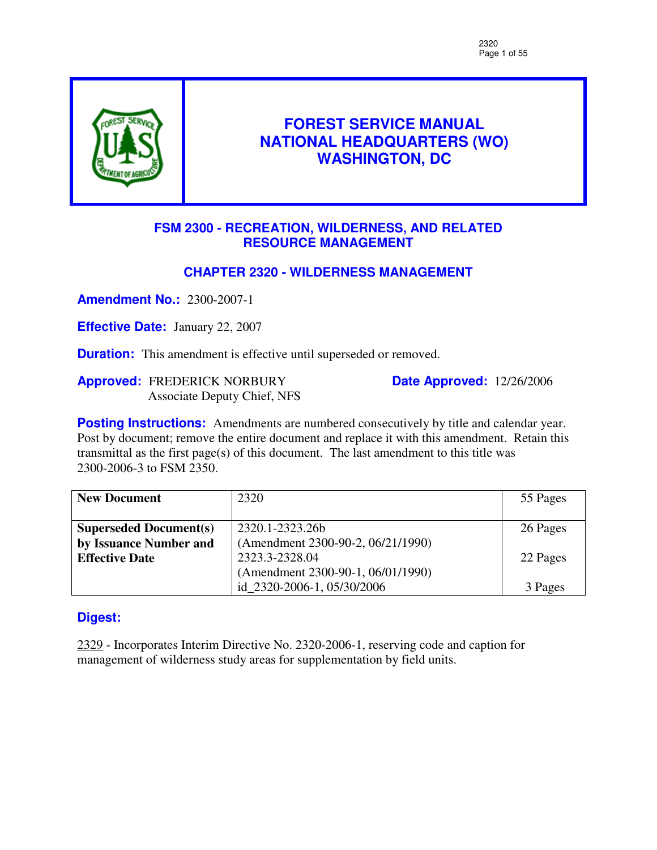

# **FOREST SERVICE MANUAL NATIONAL HEADQUARTERS (WO) WASHINGTON, DC**

# **FSM 2300 - RECREATION, WILDERNESS, AND RELATED RESOURCE MANAGEMENT**

# **CHAPTER 2320 - WILDERNESS MANAGEMENT**

**Amendment No.:** 2300-2007-1

**Effective Date:** January 22, 2007

**Duration:** This amendment is effective until superseded or removed.

**Approved:** FREDERICK NORBURY Associate Deputy Chief, NFS **Date Approved:** 12/26/2006

**Posting Instructions:** Amendments are numbered consecutively by title and calendar year. Post by document; remove the entire document and replace it with this amendment. Retain this transmittal as the first page(s) of this document. The last amendment to this title was 2300-2006-3 to FSM 2350.

| <b>New Document</b>           | 2320                              | 55 Pages |
|-------------------------------|-----------------------------------|----------|
|                               |                                   |          |
| <b>Superseded Document(s)</b> | 2320.1-2323.26b                   | 26 Pages |
| by Issuance Number and        | (Amendment 2300-90-2, 06/21/1990) |          |
| <b>Effective Date</b>         | 2323.3-2328.04                    | 22 Pages |
|                               | (Amendment 2300-90-1, 06/01/1990) |          |
|                               | id_2320-2006-1, 05/30/2006        | 3 Pages  |

# **Digest:**

2329 - Incorporates Interim Directive No. 2320-2006-1, reserving code and caption for management of wilderness study areas for supplementation by field units.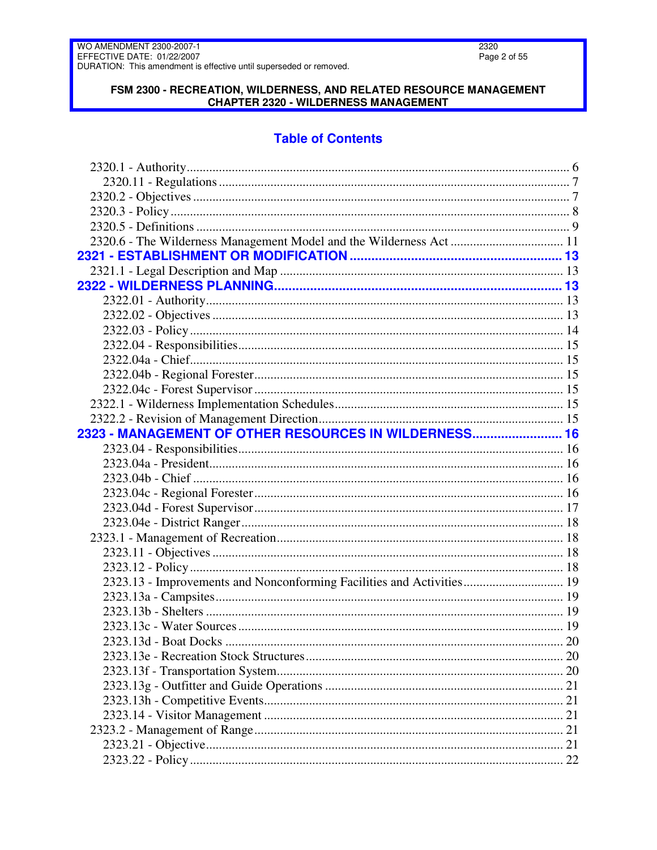### FSM 2300 - RECREATION, WILDERNESS, AND RELATED RESOURCE MANAGEMENT **CHAPTER 2320 - WILDERNESS MANAGEMENT**

# **Table of Contents**

| 2323 - MANAGEMENT OF OTHER RESOURCES IN WILDERNESS 16                 |     |
|-----------------------------------------------------------------------|-----|
|                                                                       |     |
|                                                                       |     |
|                                                                       |     |
|                                                                       |     |
|                                                                       |     |
|                                                                       |     |
|                                                                       |     |
|                                                                       |     |
|                                                                       |     |
| 2323.13 - Improvements and Nonconforming Facilities and Activities 19 |     |
|                                                                       |     |
|                                                                       |     |
|                                                                       |     |
| 2323 13d - Boat Docks                                                 | .20 |
|                                                                       |     |
|                                                                       |     |
|                                                                       |     |
|                                                                       |     |
|                                                                       |     |
|                                                                       |     |
|                                                                       |     |
|                                                                       |     |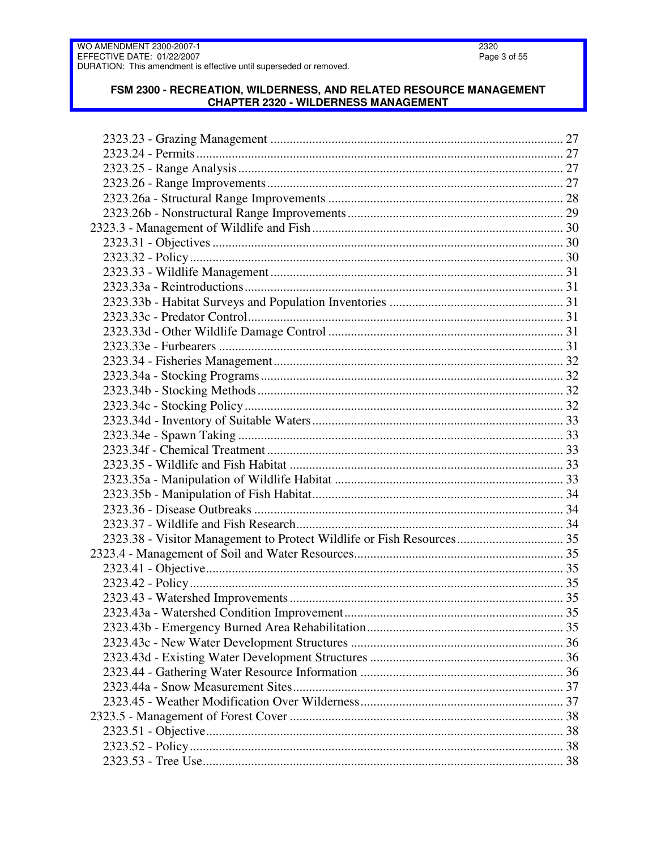### FSM 2300 - RECREATION, WILDERNESS, AND RELATED RESOURCE MANAGEMENT **CHAPTER 2320 - WILDERNESS MANAGEMENT**

| 2323.38 - Visitor Management to Protect Wildlife or Fish Resources 35 |  |
|-----------------------------------------------------------------------|--|
|                                                                       |  |
|                                                                       |  |
|                                                                       |  |
|                                                                       |  |
|                                                                       |  |
|                                                                       |  |
|                                                                       |  |
|                                                                       |  |
|                                                                       |  |
|                                                                       |  |
|                                                                       |  |
|                                                                       |  |
|                                                                       |  |
|                                                                       |  |
|                                                                       |  |
|                                                                       |  |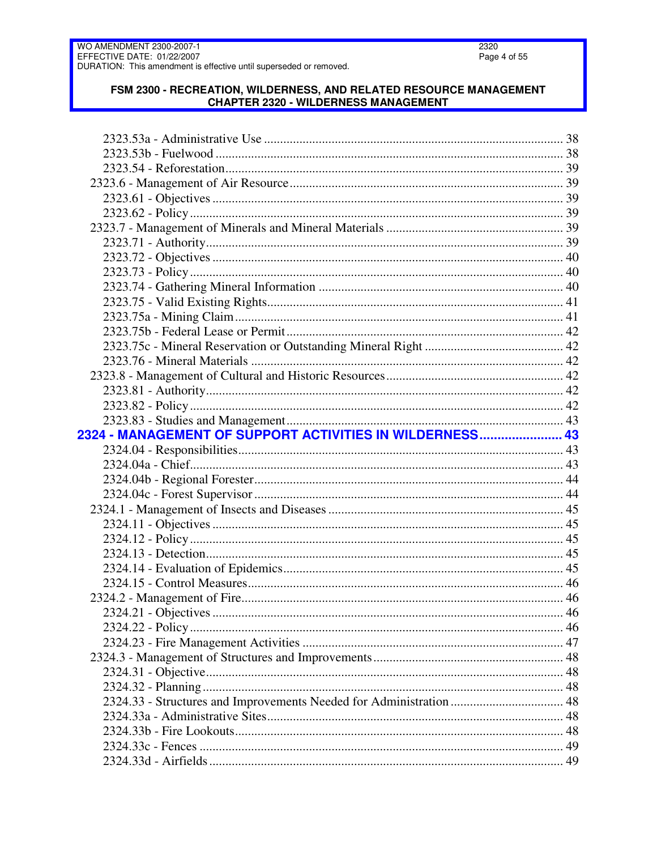### FSM 2300 - RECREATION, WILDERNESS, AND RELATED RESOURCE MANAGEMENT **CHAPTER 2320 - WILDERNESS MANAGEMENT**

| 2324 - MANAGEMENT OF SUPPORT ACTIVITIES IN WILDERNESS 43            |  |
|---------------------------------------------------------------------|--|
|                                                                     |  |
|                                                                     |  |
|                                                                     |  |
|                                                                     |  |
|                                                                     |  |
|                                                                     |  |
|                                                                     |  |
|                                                                     |  |
|                                                                     |  |
|                                                                     |  |
|                                                                     |  |
|                                                                     |  |
|                                                                     |  |
|                                                                     |  |
|                                                                     |  |
|                                                                     |  |
|                                                                     |  |
| 2324.33 - Structures and Improvements Needed for Administration  48 |  |
|                                                                     |  |
|                                                                     |  |
|                                                                     |  |
|                                                                     |  |
|                                                                     |  |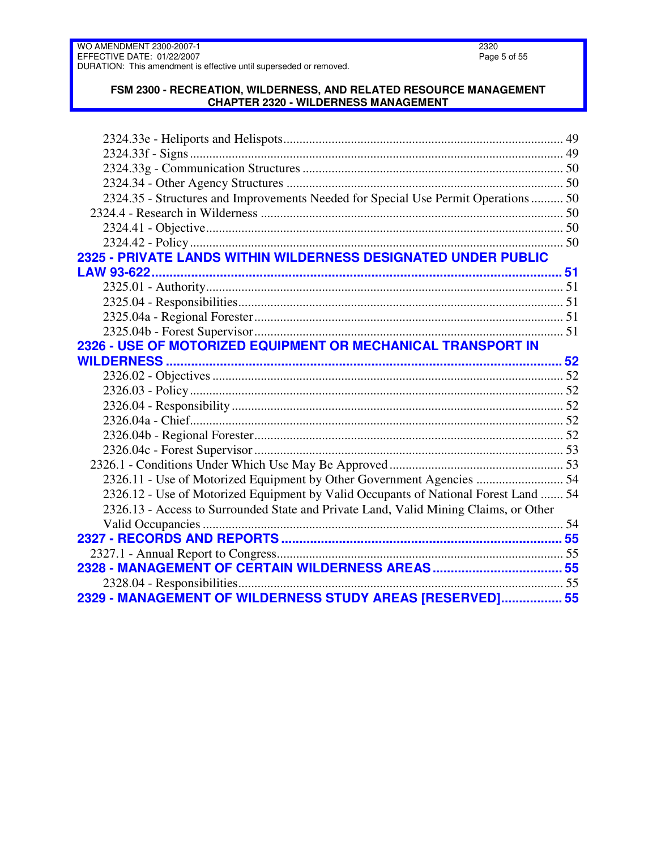### **FSM 2300 - RECREATION, WILDERNESS, AND RELATED RESOURCE MANAGEMENT CHAPTER 2320 - WILDERNESS MANAGEMENT**

| 2324.35 - Structures and Improvements Needed for Special Use Permit Operations  50<br>2325 - PRIVATE LANDS WITHIN WILDERNESS DESIGNATED UNDER PUBLIC<br>2326 - USE OF MOTORIZED EQUIPMENT OR MECHANICAL TRANSPORT IN<br>2326.11 - Use of Motorized Equipment by Other Government Agencies  54<br>2326.12 - Use of Motorized Equipment by Valid Occupants of National Forest Land  54<br>2326.13 - Access to Surrounded State and Private Land, Valid Mining Claims, or Other<br>2329 - MANAGEMENT OF WILDERNESS STUDY AREAS [RESERVED] 55 |  |
|-------------------------------------------------------------------------------------------------------------------------------------------------------------------------------------------------------------------------------------------------------------------------------------------------------------------------------------------------------------------------------------------------------------------------------------------------------------------------------------------------------------------------------------------|--|
|                                                                                                                                                                                                                                                                                                                                                                                                                                                                                                                                           |  |
|                                                                                                                                                                                                                                                                                                                                                                                                                                                                                                                                           |  |
|                                                                                                                                                                                                                                                                                                                                                                                                                                                                                                                                           |  |
|                                                                                                                                                                                                                                                                                                                                                                                                                                                                                                                                           |  |
|                                                                                                                                                                                                                                                                                                                                                                                                                                                                                                                                           |  |
|                                                                                                                                                                                                                                                                                                                                                                                                                                                                                                                                           |  |
|                                                                                                                                                                                                                                                                                                                                                                                                                                                                                                                                           |  |
|                                                                                                                                                                                                                                                                                                                                                                                                                                                                                                                                           |  |
|                                                                                                                                                                                                                                                                                                                                                                                                                                                                                                                                           |  |
|                                                                                                                                                                                                                                                                                                                                                                                                                                                                                                                                           |  |
|                                                                                                                                                                                                                                                                                                                                                                                                                                                                                                                                           |  |
|                                                                                                                                                                                                                                                                                                                                                                                                                                                                                                                                           |  |
|                                                                                                                                                                                                                                                                                                                                                                                                                                                                                                                                           |  |
|                                                                                                                                                                                                                                                                                                                                                                                                                                                                                                                                           |  |
|                                                                                                                                                                                                                                                                                                                                                                                                                                                                                                                                           |  |
|                                                                                                                                                                                                                                                                                                                                                                                                                                                                                                                                           |  |
|                                                                                                                                                                                                                                                                                                                                                                                                                                                                                                                                           |  |
|                                                                                                                                                                                                                                                                                                                                                                                                                                                                                                                                           |  |
|                                                                                                                                                                                                                                                                                                                                                                                                                                                                                                                                           |  |
|                                                                                                                                                                                                                                                                                                                                                                                                                                                                                                                                           |  |
|                                                                                                                                                                                                                                                                                                                                                                                                                                                                                                                                           |  |
|                                                                                                                                                                                                                                                                                                                                                                                                                                                                                                                                           |  |
|                                                                                                                                                                                                                                                                                                                                                                                                                                                                                                                                           |  |
|                                                                                                                                                                                                                                                                                                                                                                                                                                                                                                                                           |  |
|                                                                                                                                                                                                                                                                                                                                                                                                                                                                                                                                           |  |
|                                                                                                                                                                                                                                                                                                                                                                                                                                                                                                                                           |  |
|                                                                                                                                                                                                                                                                                                                                                                                                                                                                                                                                           |  |
|                                                                                                                                                                                                                                                                                                                                                                                                                                                                                                                                           |  |
|                                                                                                                                                                                                                                                                                                                                                                                                                                                                                                                                           |  |
|                                                                                                                                                                                                                                                                                                                                                                                                                                                                                                                                           |  |
|                                                                                                                                                                                                                                                                                                                                                                                                                                                                                                                                           |  |
|                                                                                                                                                                                                                                                                                                                                                                                                                                                                                                                                           |  |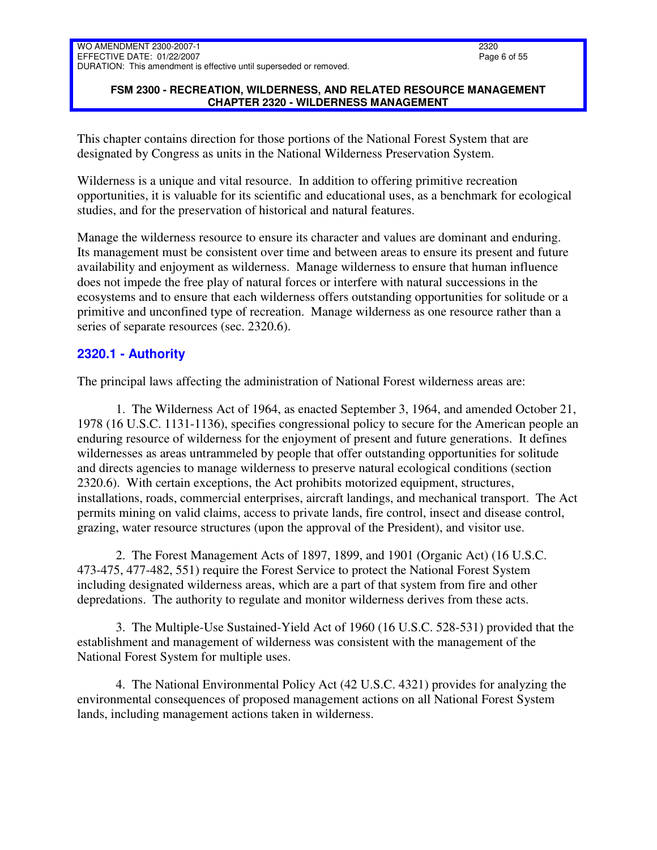### **FSM 2300 - RECREATION, WILDERNESS, AND RELATED RESOURCE MANAGEMENT CHAPTER 2320 - WILDERNESS MANAGEMENT**

This chapter contains direction for those portions of the National Forest System that are designated by Congress as units in the National Wilderness Preservation System.

Wilderness is a unique and vital resource. In addition to offering primitive recreation opportunities, it is valuable for its scientific and educational uses, as a benchmark for ecological studies, and for the preservation of historical and natural features.

Manage the wilderness resource to ensure its character and values are dominant and enduring. Its management must be consistent over time and between areas to ensure its present and future availability and enjoyment as wilderness. Manage wilderness to ensure that human influence does not impede the free play of natural forces or interfere with natural successions in the ecosystems and to ensure that each wilderness offers outstanding opportunities for solitude or a primitive and unconfined type of recreation. Manage wilderness as one resource rather than a series of separate resources (sec. 2320.6).

# <span id="page-5-0"></span>**2320.1 - Authority**

The principal laws affecting the administration of National Forest wilderness areas are:

1. The Wilderness Act of 1964, as enacted September 3, 1964, and amended October 21, 1978 (16 U.S.C. 1131-1136), specifies congressional policy to secure for the American people an enduring resource of wilderness for the enjoyment of present and future generations. It defines wildernesses as areas untrammeled by people that offer outstanding opportunities for solitude and directs agencies to manage wilderness to preserve natural ecological conditions (section 2320.6). With certain exceptions, the Act prohibits motorized equipment, structures, installations, roads, commercial enterprises, aircraft landings, and mechanical transport. The Act permits mining on valid claims, access to private lands, fire control, insect and disease control, grazing, water resource structures (upon the approval of the President), and visitor use.

2. The Forest Management Acts of 1897, 1899, and 1901 (Organic Act) (16 U.S.C. 473-475, 477-482, 551) require the Forest Service to protect the National Forest System including designated wilderness areas, which are a part of that system from fire and other depredations. The authority to regulate and monitor wilderness derives from these acts.

3. The Multiple-Use Sustained-Yield Act of 1960 (16 U.S.C. 528-531) provided that the establishment and management of wilderness was consistent with the management of the National Forest System for multiple uses.

4. The National Environmental Policy Act (42 U.S.C. 4321) provides for analyzing the environmental consequences of proposed management actions on all National Forest System lands, including management actions taken in wilderness.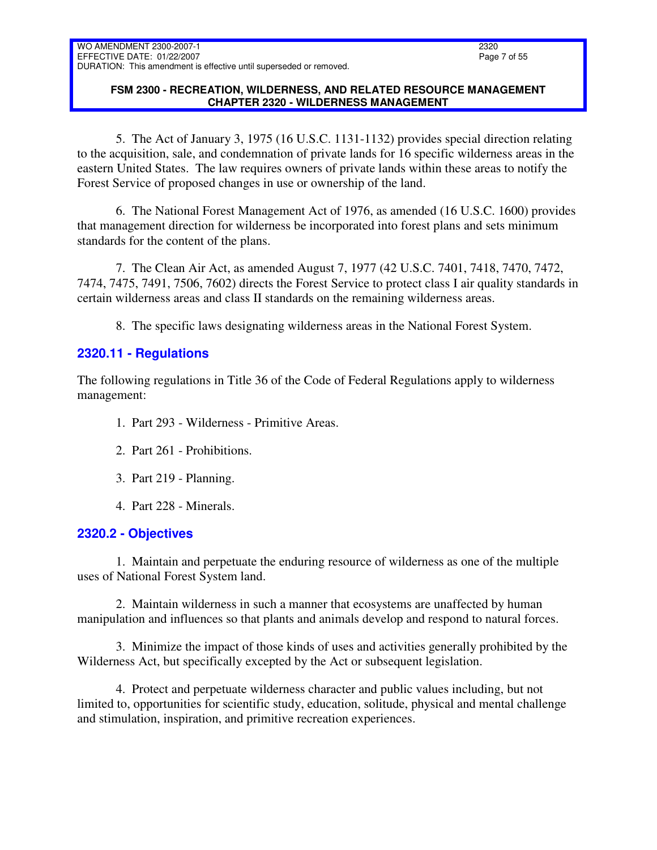### **FSM 2300 - RECREATION, WILDERNESS, AND RELATED RESOURCE MANAGEMENT CHAPTER 2320 - WILDERNESS MANAGEMENT**

5. The Act of January 3, 1975 (16 U.S.C. 1131-1132) provides special direction relating to the acquisition, sale, and condemnation of private lands for 16 specific wilderness areas in the eastern United States. The law requires owners of private lands within these areas to notify the Forest Service of proposed changes in use or ownership of the land.

6. The National Forest Management Act of 1976, as amended (16 U.S.C. 1600) provides that management direction for wilderness be incorporated into forest plans and sets minimum standards for the content of the plans.

7. The Clean Air Act, as amended August 7, 1977 (42 U.S.C. 7401, 7418, 7470, 7472, 7474, 7475, 7491, 7506, 7602) directs the Forest Service to protect class I air quality standards in certain wilderness areas and class II standards on the remaining wilderness areas.

8. The specific laws designating wilderness areas in the National Forest System.

# <span id="page-6-0"></span>**2320.11 - Regulations**

The following regulations in Title 36 of the Code of Federal Regulations apply to wilderness management:

- 1. Part 293 Wilderness Primitive Areas.
- 2. Part 261 Prohibitions.
- 3. Part 219 Planning.
- 4. Part 228 Minerals.

# <span id="page-6-1"></span>**2320.2 - Objectives**

1. Maintain and perpetuate the enduring resource of wilderness as one of the multiple uses of National Forest System land.

2. Maintain wilderness in such a manner that ecosystems are unaffected by human manipulation and influences so that plants and animals develop and respond to natural forces.

3. Minimize the impact of those kinds of uses and activities generally prohibited by the Wilderness Act, but specifically excepted by the Act or subsequent legislation.

4. Protect and perpetuate wilderness character and public values including, but not limited to, opportunities for scientific study, education, solitude, physical and mental challenge and stimulation, inspiration, and primitive recreation experiences.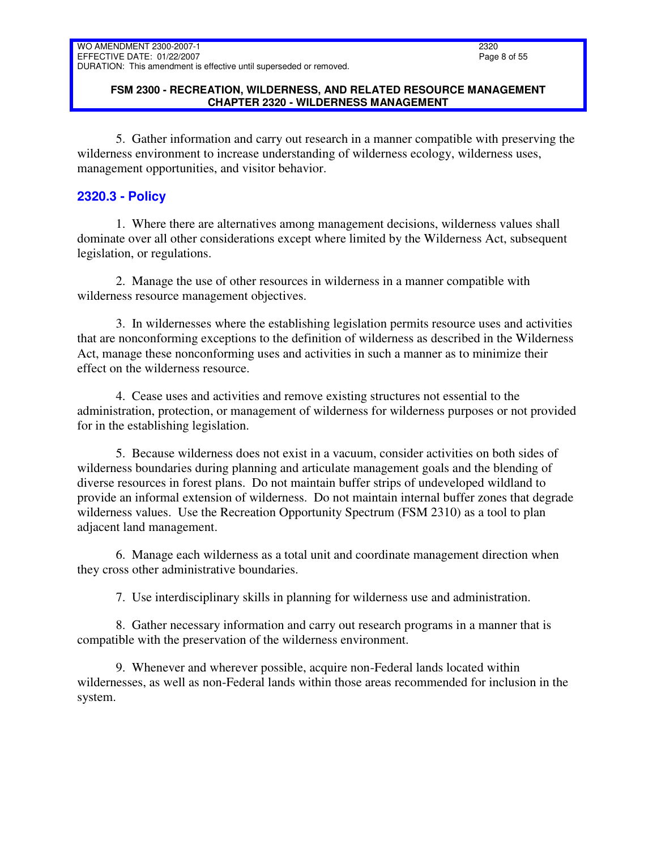### **FSM 2300 - RECREATION, WILDERNESS, AND RELATED RESOURCE MANAGEMENT CHAPTER 2320 - WILDERNESS MANAGEMENT**

5. Gather information and carry out research in a manner compatible with preserving the wilderness environment to increase understanding of wilderness ecology, wilderness uses, management opportunities, and visitor behavior.

# <span id="page-7-0"></span>**2320.3 - Policy**

1. Where there are alternatives among management decisions, wilderness values shall dominate over all other considerations except where limited by the Wilderness Act, subsequent legislation, or regulations.

2. Manage the use of other resources in wilderness in a manner compatible with wilderness resource management objectives.

3. In wildernesses where the establishing legislation permits resource uses and activities that are nonconforming exceptions to the definition of wilderness as described in the Wilderness Act, manage these nonconforming uses and activities in such a manner as to minimize their effect on the wilderness resource.

4. Cease uses and activities and remove existing structures not essential to the administration, protection, or management of wilderness for wilderness purposes or not provided for in the establishing legislation.

5. Because wilderness does not exist in a vacuum, consider activities on both sides of wilderness boundaries during planning and articulate management goals and the blending of diverse resources in forest plans. Do not maintain buffer strips of undeveloped wildland to provide an informal extension of wilderness. Do not maintain internal buffer zones that degrade wilderness values. Use the Recreation Opportunity Spectrum (FSM 2310) as a tool to plan adjacent land management.

6. Manage each wilderness as a total unit and coordinate management direction when they cross other administrative boundaries.

7. Use interdisciplinary skills in planning for wilderness use and administration.

8. Gather necessary information and carry out research programs in a manner that is compatible with the preservation of the wilderness environment.

9. Whenever and wherever possible, acquire non-Federal lands located within wildernesses, as well as non-Federal lands within those areas recommended for inclusion in the system.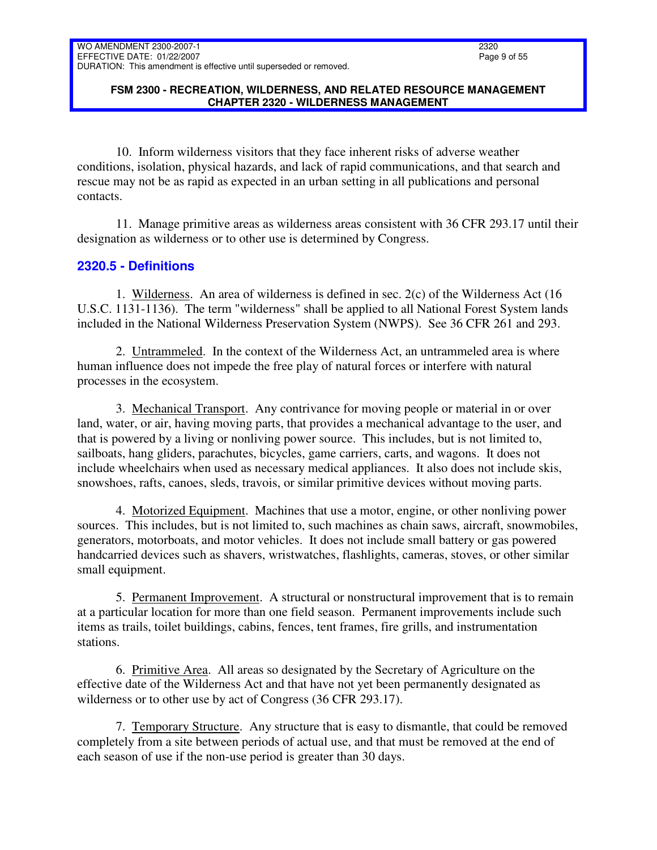### **FSM 2300 - RECREATION, WILDERNESS, AND RELATED RESOURCE MANAGEMENT CHAPTER 2320 - WILDERNESS MANAGEMENT**

10. Inform wilderness visitors that they face inherent risks of adverse weather conditions, isolation, physical hazards, and lack of rapid communications, and that search and rescue may not be as rapid as expected in an urban setting in all publications and personal contacts.

11. Manage primitive areas as wilderness areas consistent with 36 CFR 293.17 until their designation as wilderness or to other use is determined by Congress.

# <span id="page-8-0"></span>**2320.5 - Definitions**

1. Wilderness. An area of wilderness is defined in sec. 2(c) of the Wilderness Act (16 U.S.C. 1131-1136). The term "wilderness" shall be applied to all National Forest System lands included in the National Wilderness Preservation System (NWPS). See 36 CFR 261 and 293.

2. Untrammeled. In the context of the Wilderness Act, an untrammeled area is where human influence does not impede the free play of natural forces or interfere with natural processes in the ecosystem.

3. Mechanical Transport. Any contrivance for moving people or material in or over land, water, or air, having moving parts, that provides a mechanical advantage to the user, and that is powered by a living or nonliving power source. This includes, but is not limited to, sailboats, hang gliders, parachutes, bicycles, game carriers, carts, and wagons. It does not include wheelchairs when used as necessary medical appliances. It also does not include skis, snowshoes, rafts, canoes, sleds, travois, or similar primitive devices without moving parts.

4. Motorized Equipment. Machines that use a motor, engine, or other nonliving power sources. This includes, but is not limited to, such machines as chain saws, aircraft, snowmobiles, generators, motorboats, and motor vehicles. It does not include small battery or gas powered handcarried devices such as shavers, wristwatches, flashlights, cameras, stoves, or other similar small equipment.

5. Permanent Improvement. A structural or nonstructural improvement that is to remain at a particular location for more than one field season. Permanent improvements include such items as trails, toilet buildings, cabins, fences, tent frames, fire grills, and instrumentation stations.

6. Primitive Area. All areas so designated by the Secretary of Agriculture on the effective date of the Wilderness Act and that have not yet been permanently designated as wilderness or to other use by act of Congress (36 CFR 293.17).

7. Temporary Structure. Any structure that is easy to dismantle, that could be removed completely from a site between periods of actual use, and that must be removed at the end of each season of use if the non-use period is greater than 30 days.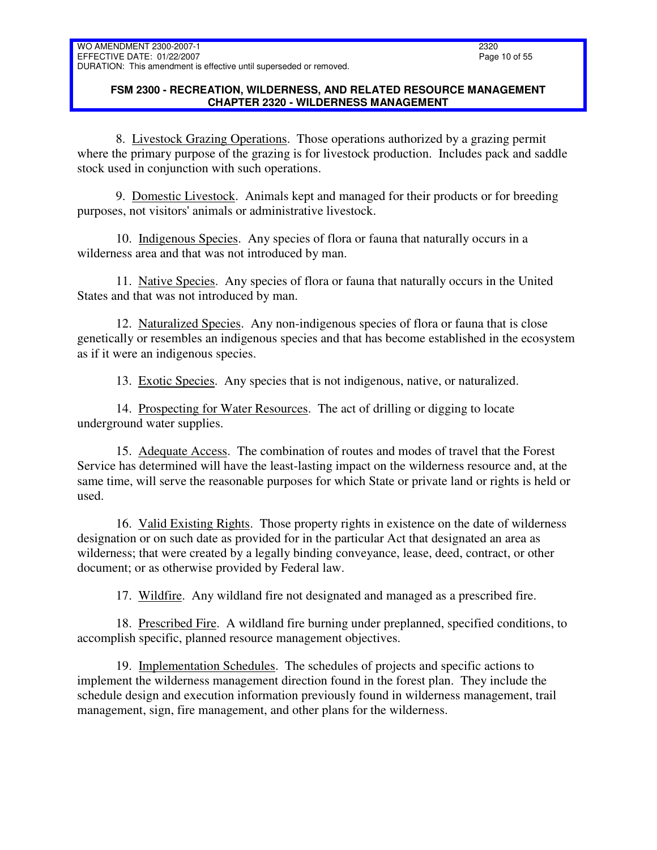### **FSM 2300 - RECREATION, WILDERNESS, AND RELATED RESOURCE MANAGEMENT CHAPTER 2320 - WILDERNESS MANAGEMENT**

8. Livestock Grazing Operations. Those operations authorized by a grazing permit where the primary purpose of the grazing is for livestock production. Includes pack and saddle stock used in conjunction with such operations.

9. Domestic Livestock. Animals kept and managed for their products or for breeding purposes, not visitors' animals or administrative livestock.

10. Indigenous Species. Any species of flora or fauna that naturally occurs in a wilderness area and that was not introduced by man.

11. Native Species. Any species of flora or fauna that naturally occurs in the United States and that was not introduced by man.

12. Naturalized Species. Any non-indigenous species of flora or fauna that is close genetically or resembles an indigenous species and that has become established in the ecosystem as if it were an indigenous species.

13. Exotic Species. Any species that is not indigenous, native, or naturalized.

14. Prospecting for Water Resources. The act of drilling or digging to locate underground water supplies.

15. Adequate Access. The combination of routes and modes of travel that the Forest Service has determined will have the least-lasting impact on the wilderness resource and, at the same time, will serve the reasonable purposes for which State or private land or rights is held or used.

16. Valid Existing Rights. Those property rights in existence on the date of wilderness designation or on such date as provided for in the particular Act that designated an area as wilderness; that were created by a legally binding conveyance, lease, deed, contract, or other document; or as otherwise provided by Federal law.

17. Wildfire. Any wildland fire not designated and managed as a prescribed fire.

18. Prescribed Fire. A wildland fire burning under preplanned, specified conditions, to accomplish specific, planned resource management objectives.

19. Implementation Schedules. The schedules of projects and specific actions to implement the wilderness management direction found in the forest plan. They include the schedule design and execution information previously found in wilderness management, trail management, sign, fire management, and other plans for the wilderness.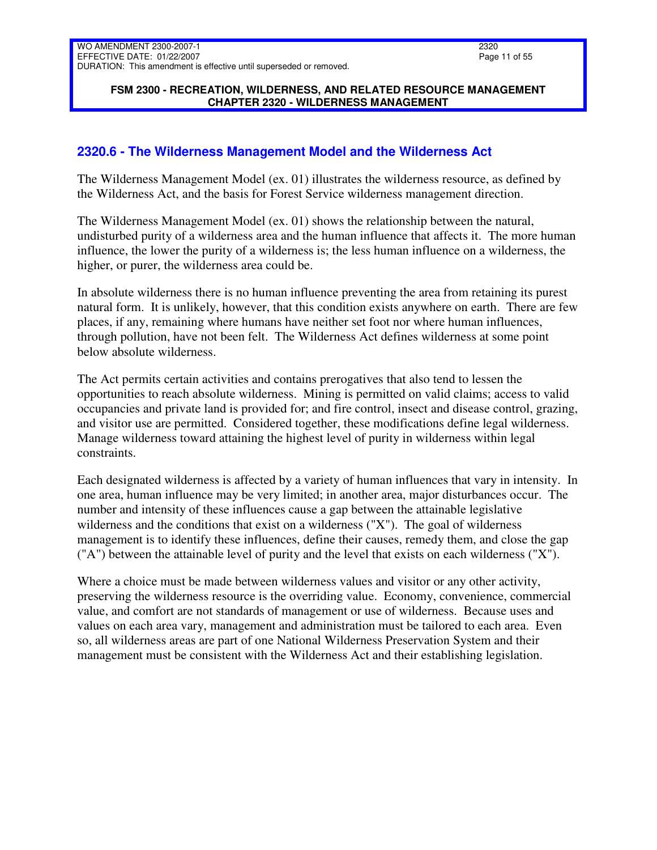### **FSM 2300 - RECREATION, WILDERNESS, AND RELATED RESOURCE MANAGEMENT CHAPTER 2320 - WILDERNESS MANAGEMENT**

# <span id="page-10-0"></span>**2320.6 - The Wilderness Management Model and the Wilderness Act**

The Wilderness Management Model (ex. 01) illustrates the wilderness resource, as defined by the Wilderness Act, and the basis for Forest Service wilderness management direction.

The Wilderness Management Model (ex. 01) shows the relationship between the natural, undisturbed purity of a wilderness area and the human influence that affects it. The more human influence, the lower the purity of a wilderness is; the less human influence on a wilderness, the higher, or purer, the wilderness area could be.

In absolute wilderness there is no human influence preventing the area from retaining its purest natural form. It is unlikely, however, that this condition exists anywhere on earth. There are few places, if any, remaining where humans have neither set foot nor where human influences, through pollution, have not been felt. The Wilderness Act defines wilderness at some point below absolute wilderness.

The Act permits certain activities and contains prerogatives that also tend to lessen the opportunities to reach absolute wilderness. Mining is permitted on valid claims; access to valid occupancies and private land is provided for; and fire control, insect and disease control, grazing, and visitor use are permitted. Considered together, these modifications define legal wilderness. Manage wilderness toward attaining the highest level of purity in wilderness within legal constraints.

Each designated wilderness is affected by a variety of human influences that vary in intensity. In one area, human influence may be very limited; in another area, major disturbances occur. The number and intensity of these influences cause a gap between the attainable legislative wilderness and the conditions that exist on a wilderness ("X"). The goal of wilderness management is to identify these influences, define their causes, remedy them, and close the gap ("A") between the attainable level of purity and the level that exists on each wilderness ("X").

Where a choice must be made between wilderness values and visitor or any other activity, preserving the wilderness resource is the overriding value. Economy, convenience, commercial value, and comfort are not standards of management or use of wilderness. Because uses and values on each area vary, management and administration must be tailored to each area. Even so, all wilderness areas are part of one National Wilderness Preservation System and their management must be consistent with the Wilderness Act and their establishing legislation.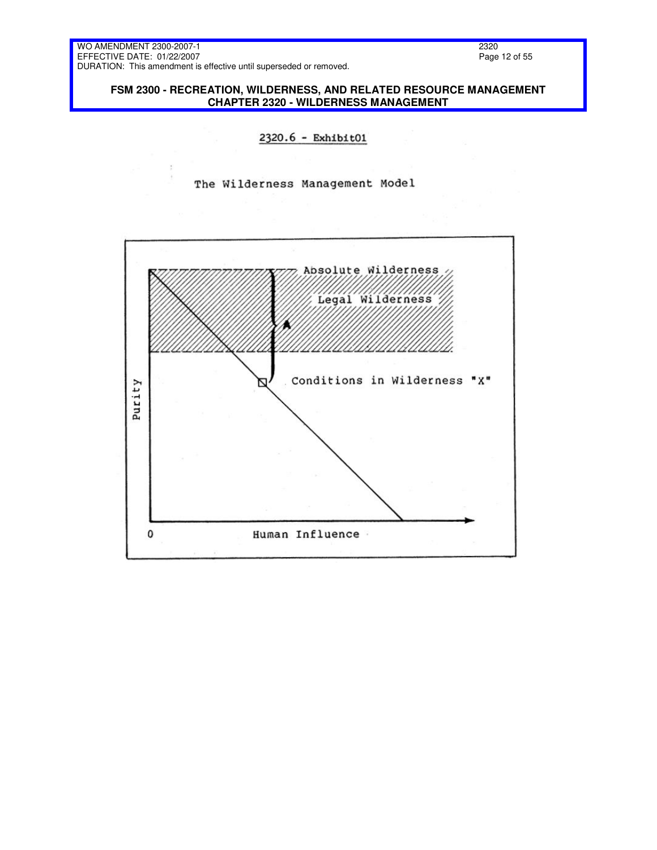2320 Page 12 of 55

**FSM 2300 - RECREATION, WILDERNESS, AND RELATED RESOURCE MANAGEMENT CHAPTER 2320 - WILDERNESS MANAGEMENT** 

### 2320.6 - Exhibit01

The Wilderness Management Model

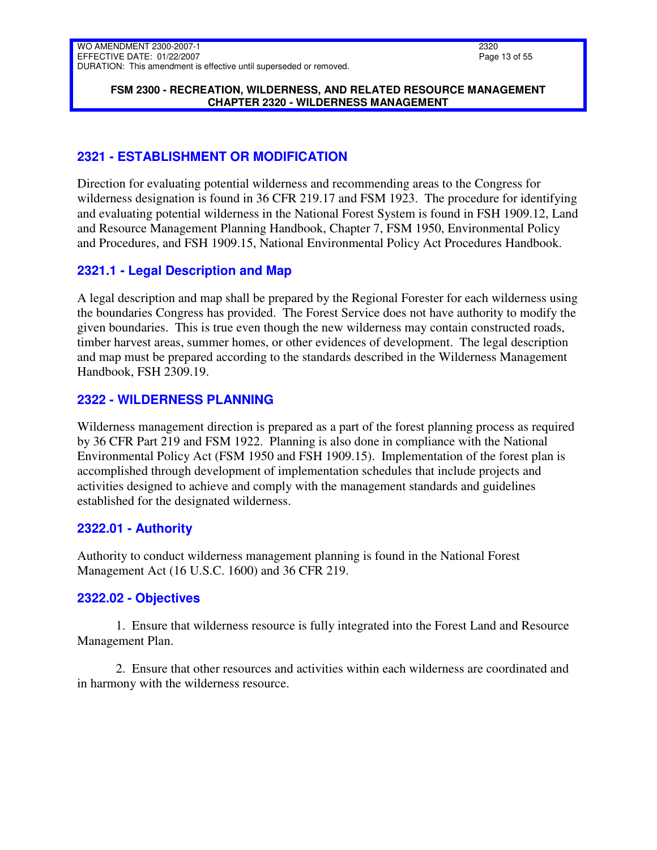#### **FSM 2300 - RECREATION, WILDERNESS, AND RELATED RESOURCE MANAGEMENT CHAPTER 2320 - WILDERNESS MANAGEMENT**

# <span id="page-12-0"></span>**2321 - ESTABLISHMENT OR MODIFICATION**

Direction for evaluating potential wilderness and recommending areas to the Congress for wilderness designation is found in 36 CFR 219.17 and FSM 1923. The procedure for identifying and evaluating potential wilderness in the National Forest System is found in FSH 1909.12, Land and Resource Management Planning Handbook, Chapter 7, FSM 1950, Environmental Policy and Procedures, and FSH 1909.15, National Environmental Policy Act Procedures Handbook.

# <span id="page-12-1"></span>**2321.1 - Legal Description and Map**

A legal description and map shall be prepared by the Regional Forester for each wilderness using the boundaries Congress has provided. The Forest Service does not have authority to modify the given boundaries. This is true even though the new wilderness may contain constructed roads, timber harvest areas, summer homes, or other evidences of development. The legal description and map must be prepared according to the standards described in the Wilderness Management Handbook, FSH 2309.19.

# <span id="page-12-2"></span>**2322 - WILDERNESS PLANNING**

Wilderness management direction is prepared as a part of the forest planning process as required by 36 CFR Part 219 and FSM 1922. Planning is also done in compliance with the National Environmental Policy Act (FSM 1950 and FSH 1909.15). Implementation of the forest plan is accomplished through development of implementation schedules that include projects and activities designed to achieve and comply with the management standards and guidelines established for the designated wilderness.

# <span id="page-12-3"></span>**2322.01 - Authority**

Authority to conduct wilderness management planning is found in the National Forest Management Act (16 U.S.C. 1600) and 36 CFR 219.

# <span id="page-12-4"></span>**2322.02 - Objectives**

1. Ensure that wilderness resource is fully integrated into the Forest Land and Resource Management Plan.

2. Ensure that other resources and activities within each wilderness are coordinated and in harmony with the wilderness resource.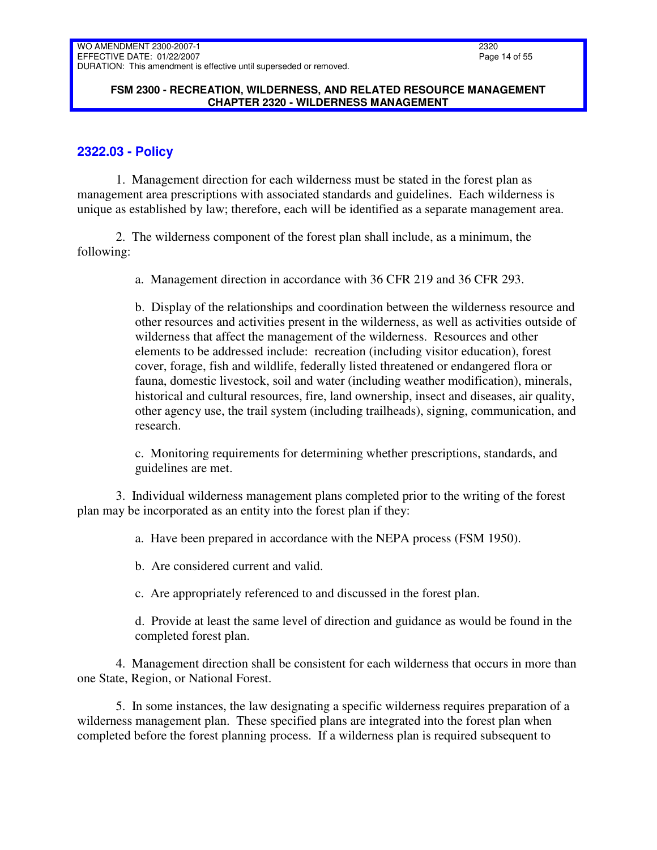#### **FSM 2300 - RECREATION, WILDERNESS, AND RELATED RESOURCE MANAGEMENT CHAPTER 2320 - WILDERNESS MANAGEMENT**

## <span id="page-13-0"></span>**2322.03 - Policy**

1. Management direction for each wilderness must be stated in the forest plan as management area prescriptions with associated standards and guidelines. Each wilderness is unique as established by law; therefore, each will be identified as a separate management area.

2. The wilderness component of the forest plan shall include, as a minimum, the following:

a. Management direction in accordance with 36 CFR 219 and 36 CFR 293.

b. Display of the relationships and coordination between the wilderness resource and other resources and activities present in the wilderness, as well as activities outside of wilderness that affect the management of the wilderness. Resources and other elements to be addressed include: recreation (including visitor education), forest cover, forage, fish and wildlife, federally listed threatened or endangered flora or fauna, domestic livestock, soil and water (including weather modification), minerals, historical and cultural resources, fire, land ownership, insect and diseases, air quality, other agency use, the trail system (including trailheads), signing, communication, and research.

c. Monitoring requirements for determining whether prescriptions, standards, and guidelines are met.

3. Individual wilderness management plans completed prior to the writing of the forest plan may be incorporated as an entity into the forest plan if they:

a. Have been prepared in accordance with the NEPA process (FSM 1950).

b. Are considered current and valid.

c. Are appropriately referenced to and discussed in the forest plan.

d. Provide at least the same level of direction and guidance as would be found in the completed forest plan.

4. Management direction shall be consistent for each wilderness that occurs in more than one State, Region, or National Forest.

5. In some instances, the law designating a specific wilderness requires preparation of a wilderness management plan. These specified plans are integrated into the forest plan when completed before the forest planning process. If a wilderness plan is required subsequent to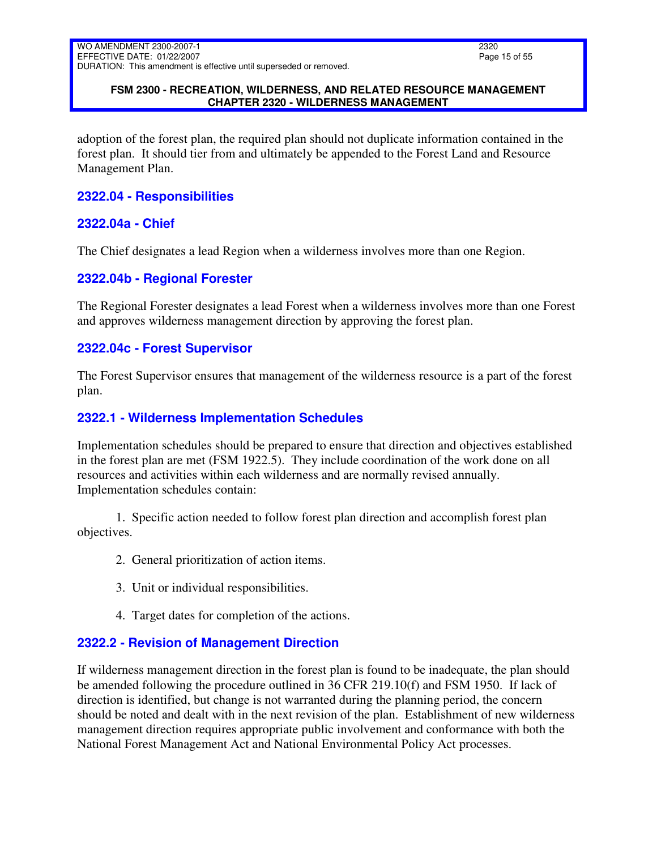### **FSM 2300 - RECREATION, WILDERNESS, AND RELATED RESOURCE MANAGEMENT CHAPTER 2320 - WILDERNESS MANAGEMENT**

adoption of the forest plan, the required plan should not duplicate information contained in the forest plan. It should tier from and ultimately be appended to the Forest Land and Resource Management Plan.

## <span id="page-14-0"></span>**2322.04 - Responsibilities**

### <span id="page-14-1"></span>**2322.04a - Chief**

The Chief designates a lead Region when a wilderness involves more than one Region.

### <span id="page-14-2"></span>**2322.04b - Regional Forester**

The Regional Forester designates a lead Forest when a wilderness involves more than one Forest and approves wilderness management direction by approving the forest plan.

### <span id="page-14-3"></span>**2322.04c - Forest Supervisor**

The Forest Supervisor ensures that management of the wilderness resource is a part of the forest plan.

### <span id="page-14-4"></span>**2322.1 - Wilderness Implementation Schedules**

Implementation schedules should be prepared to ensure that direction and objectives established in the forest plan are met (FSM 1922.5). They include coordination of the work done on all resources and activities within each wilderness and are normally revised annually. Implementation schedules contain:

1. Specific action needed to follow forest plan direction and accomplish forest plan objectives.

- 2. General prioritization of action items.
- 3. Unit or individual responsibilities.
- 4. Target dates for completion of the actions.

### <span id="page-14-5"></span>**2322.2 - Revision of Management Direction**

If wilderness management direction in the forest plan is found to be inadequate, the plan should be amended following the procedure outlined in 36 CFR 219.10(f) and FSM 1950. If lack of direction is identified, but change is not warranted during the planning period, the concern should be noted and dealt with in the next revision of the plan. Establishment of new wilderness management direction requires appropriate public involvement and conformance with both the National Forest Management Act and National Environmental Policy Act processes.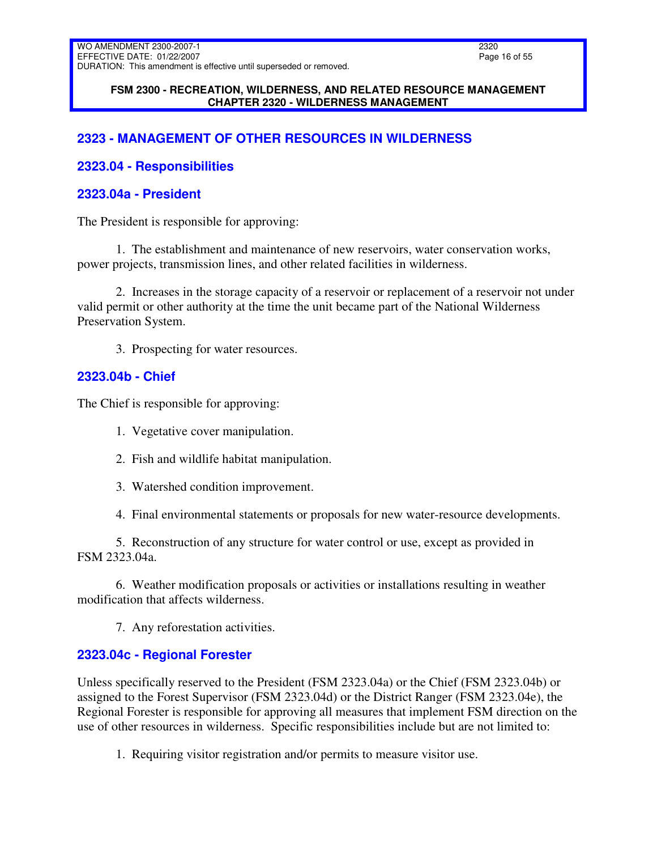#### **FSM 2300 - RECREATION, WILDERNESS, AND RELATED RESOURCE MANAGEMENT CHAPTER 2320 - WILDERNESS MANAGEMENT**

# <span id="page-15-0"></span>**2323 - MANAGEMENT OF OTHER RESOURCES IN WILDERNESS**

### <span id="page-15-1"></span>**2323.04 - Responsibilities**

### <span id="page-15-2"></span>**2323.04a - President**

The President is responsible for approving:

1. The establishment and maintenance of new reservoirs, water conservation works, power projects, transmission lines, and other related facilities in wilderness.

2. Increases in the storage capacity of a reservoir or replacement of a reservoir not under valid permit or other authority at the time the unit became part of the National Wilderness Preservation System.

3. Prospecting for water resources.

### <span id="page-15-3"></span>**2323.04b - Chief**

The Chief is responsible for approving:

- 1. Vegetative cover manipulation.
- 2. Fish and wildlife habitat manipulation.
- 3. Watershed condition improvement.

4. Final environmental statements or proposals for new water-resource developments.

5. Reconstruction of any structure for water control or use, except as provided in FSM 2323.04a.

6. Weather modification proposals or activities or installations resulting in weather modification that affects wilderness.

7. Any reforestation activities.

### <span id="page-15-4"></span>**2323.04c - Regional Forester**

Unless specifically reserved to the President (FSM 2323.04a) or the Chief (FSM 2323.04b) or assigned to the Forest Supervisor (FSM 2323.04d) or the District Ranger (FSM 2323.04e), the Regional Forester is responsible for approving all measures that implement FSM direction on the use of other resources in wilderness. Specific responsibilities include but are not limited to:

1. Requiring visitor registration and/or permits to measure visitor use.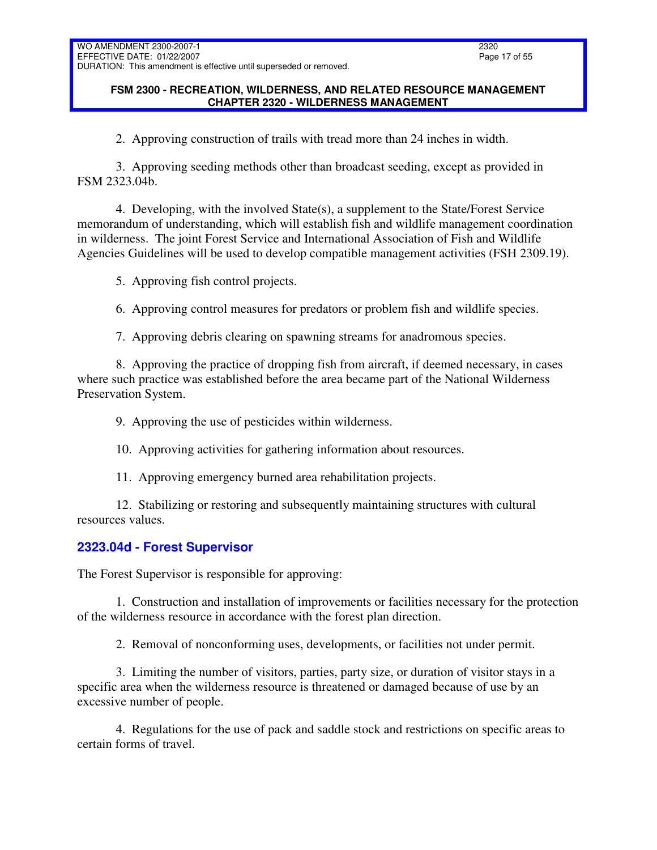### **FSM 2300 - RECREATION, WILDERNESS, AND RELATED RESOURCE MANAGEMENT CHAPTER 2320 - WILDERNESS MANAGEMENT**

2. Approving construction of trails with tread more than 24 inches in width.

3. Approving seeding methods other than broadcast seeding, except as provided in FSM 2323.04b.

4. Developing, with the involved State(s), a supplement to the State/Forest Service memorandum of understanding, which will establish fish and wildlife management coordination in wilderness. The joint Forest Service and International Association of Fish and Wildlife Agencies Guidelines will be used to develop compatible management activities (FSH 2309.19).

5. Approving fish control projects.

6. Approving control measures for predators or problem fish and wildlife species.

7. Approving debris clearing on spawning streams for anadromous species.

8. Approving the practice of dropping fish from aircraft, if deemed necessary, in cases where such practice was established before the area became part of the National Wilderness Preservation System.

9. Approving the use of pesticides within wilderness.

10. Approving activities for gathering information about resources.

11. Approving emergency burned area rehabilitation projects.

12. Stabilizing or restoring and subsequently maintaining structures with cultural resources values.

# <span id="page-16-0"></span>**2323.04d - Forest Supervisor**

The Forest Supervisor is responsible for approving:

1. Construction and installation of improvements or facilities necessary for the protection of the wilderness resource in accordance with the forest plan direction.

2. Removal of nonconforming uses, developments, or facilities not under permit.

3. Limiting the number of visitors, parties, party size, or duration of visitor stays in a specific area when the wilderness resource is threatened or damaged because of use by an excessive number of people.

4. Regulations for the use of pack and saddle stock and restrictions on specific areas to certain forms of travel.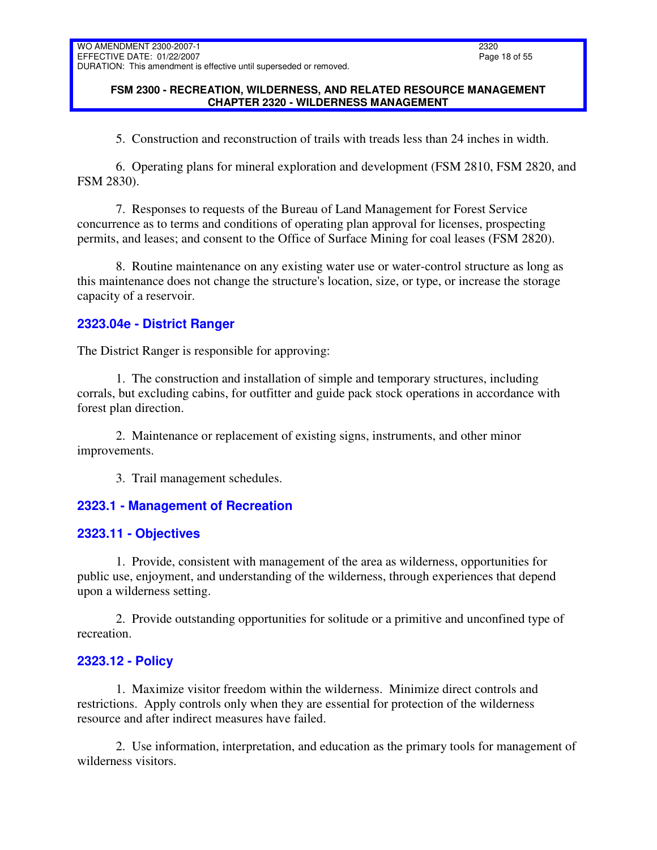### **FSM 2300 - RECREATION, WILDERNESS, AND RELATED RESOURCE MANAGEMENT CHAPTER 2320 - WILDERNESS MANAGEMENT**

5. Construction and reconstruction of trails with treads less than 24 inches in width.

6. Operating plans for mineral exploration and development (FSM 2810, FSM 2820, and FSM 2830).

7. Responses to requests of the Bureau of Land Management for Forest Service concurrence as to terms and conditions of operating plan approval for licenses, prospecting permits, and leases; and consent to the Office of Surface Mining for coal leases (FSM 2820).

8. Routine maintenance on any existing water use or water-control structure as long as this maintenance does not change the structure's location, size, or type, or increase the storage capacity of a reservoir.

# <span id="page-17-0"></span>**2323.04e - District Ranger**

The District Ranger is responsible for approving:

1. The construction and installation of simple and temporary structures, including corrals, but excluding cabins, for outfitter and guide pack stock operations in accordance with forest plan direction.

2. Maintenance or replacement of existing signs, instruments, and other minor improvements.

3. Trail management schedules.

# <span id="page-17-1"></span>**2323.1 - Management of Recreation**

# <span id="page-17-2"></span>**2323.11 - Objectives**

1. Provide, consistent with management of the area as wilderness, opportunities for public use, enjoyment, and understanding of the wilderness, through experiences that depend upon a wilderness setting.

2. Provide outstanding opportunities for solitude or a primitive and unconfined type of recreation.

# <span id="page-17-3"></span>**2323.12 - Policy**

1. Maximize visitor freedom within the wilderness. Minimize direct controls and restrictions. Apply controls only when they are essential for protection of the wilderness resource and after indirect measures have failed.

2. Use information, interpretation, and education as the primary tools for management of wilderness visitors.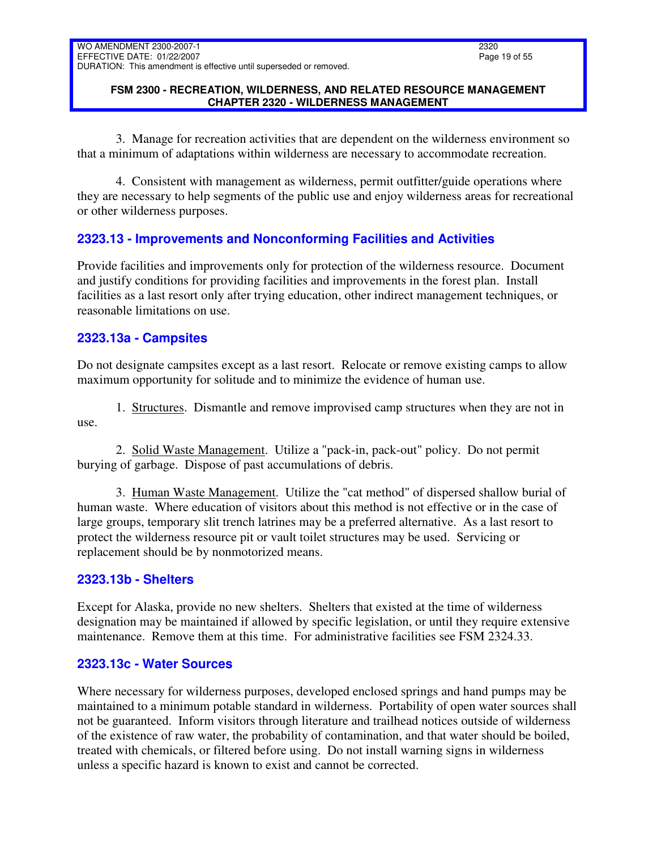### **FSM 2300 - RECREATION, WILDERNESS, AND RELATED RESOURCE MANAGEMENT CHAPTER 2320 - WILDERNESS MANAGEMENT**

3. Manage for recreation activities that are dependent on the wilderness environment so that a minimum of adaptations within wilderness are necessary to accommodate recreation.

4. Consistent with management as wilderness, permit outfitter/guide operations where they are necessary to help segments of the public use and enjoy wilderness areas for recreational or other wilderness purposes.

# <span id="page-18-0"></span>**2323.13 - Improvements and Nonconforming Facilities and Activities**

Provide facilities and improvements only for protection of the wilderness resource. Document and justify conditions for providing facilities and improvements in the forest plan. Install facilities as a last resort only after trying education, other indirect management techniques, or reasonable limitations on use.

# <span id="page-18-1"></span>**2323.13a - Campsites**

Do not designate campsites except as a last resort. Relocate or remove existing camps to allow maximum opportunity for solitude and to minimize the evidence of human use.

1. Structures. Dismantle and remove improvised camp structures when they are not in use.

2. Solid Waste Management. Utilize a "pack-in, pack-out" policy. Do not permit burying of garbage. Dispose of past accumulations of debris.

3. Human Waste Management. Utilize the "cat method" of dispersed shallow burial of human waste. Where education of visitors about this method is not effective or in the case of large groups, temporary slit trench latrines may be a preferred alternative. As a last resort to protect the wilderness resource pit or vault toilet structures may be used. Servicing or replacement should be by nonmotorized means.

# <span id="page-18-2"></span>**2323.13b - Shelters**

Except for Alaska, provide no new shelters. Shelters that existed at the time of wilderness designation may be maintained if allowed by specific legislation, or until they require extensive maintenance. Remove them at this time. For administrative facilities see FSM 2324.33.

### <span id="page-18-3"></span>**2323.13c - Water Sources**

Where necessary for wilderness purposes, developed enclosed springs and hand pumps may be maintained to a minimum potable standard in wilderness. Portability of open water sources shall not be guaranteed. Inform visitors through literature and trailhead notices outside of wilderness of the existence of raw water, the probability of contamination, and that water should be boiled, treated with chemicals, or filtered before using. Do not install warning signs in wilderness unless a specific hazard is known to exist and cannot be corrected.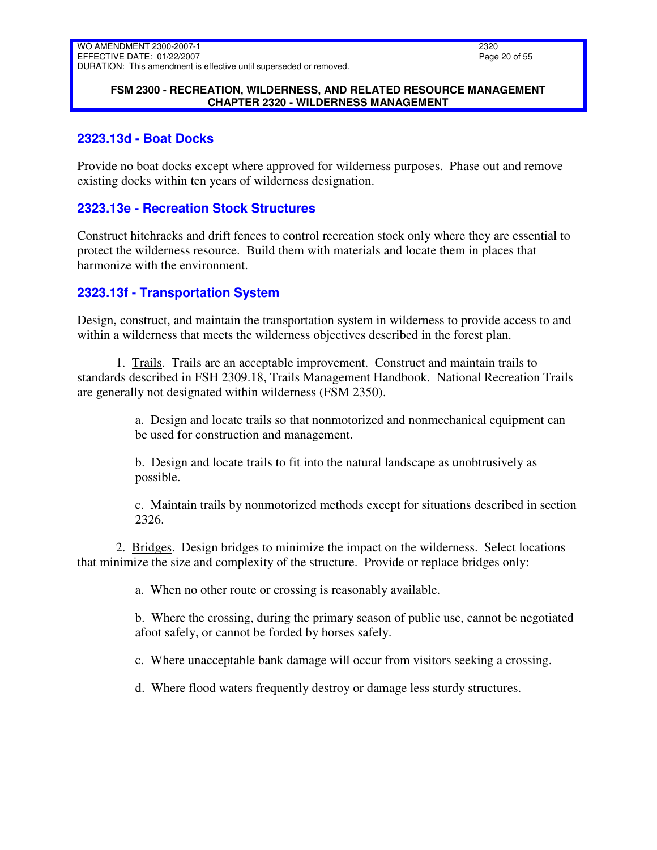#### **FSM 2300 - RECREATION, WILDERNESS, AND RELATED RESOURCE MANAGEMENT CHAPTER 2320 - WILDERNESS MANAGEMENT**

## <span id="page-19-0"></span>**2323.13d - Boat Docks**

Provide no boat docks except where approved for wilderness purposes. Phase out and remove existing docks within ten years of wilderness designation.

## <span id="page-19-1"></span>**2323.13e - Recreation Stock Structures**

Construct hitchracks and drift fences to control recreation stock only where they are essential to protect the wilderness resource. Build them with materials and locate them in places that harmonize with the environment.

### <span id="page-19-2"></span>**2323.13f - Transportation System**

Design, construct, and maintain the transportation system in wilderness to provide access to and within a wilderness that meets the wilderness objectives described in the forest plan.

1. Trails. Trails are an acceptable improvement. Construct and maintain trails to standards described in FSH 2309.18, Trails Management Handbook. National Recreation Trails are generally not designated within wilderness (FSM 2350).

> a. Design and locate trails so that nonmotorized and nonmechanical equipment can be used for construction and management.

b. Design and locate trails to fit into the natural landscape as unobtrusively as possible.

c. Maintain trails by nonmotorized methods except for situations described in section 2326.

2. Bridges. Design bridges to minimize the impact on the wilderness. Select locations that minimize the size and complexity of the structure. Provide or replace bridges only:

a. When no other route or crossing is reasonably available.

b. Where the crossing, during the primary season of public use, cannot be negotiated afoot safely, or cannot be forded by horses safely.

c. Where unacceptable bank damage will occur from visitors seeking a crossing.

d. Where flood waters frequently destroy or damage less sturdy structures.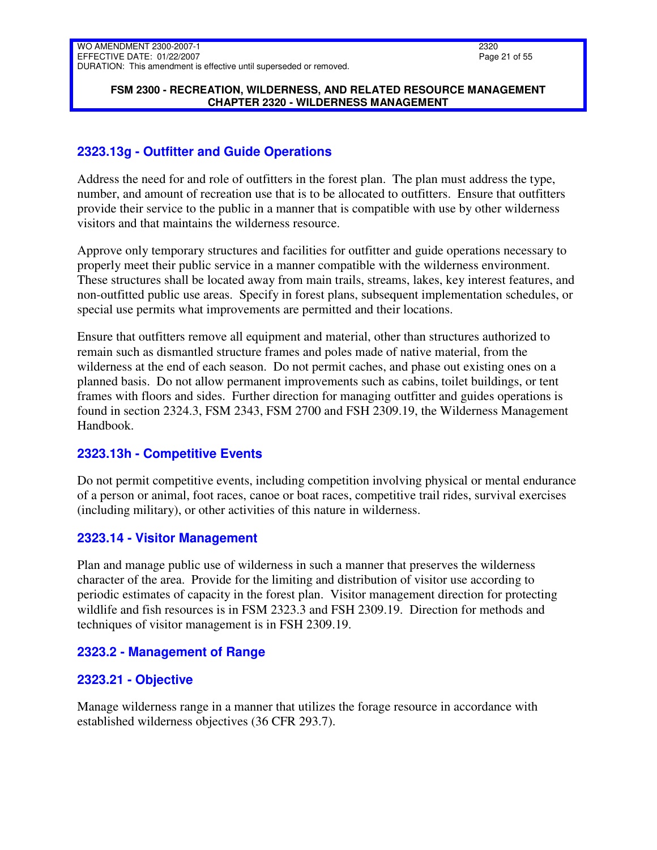### **FSM 2300 - RECREATION, WILDERNESS, AND RELATED RESOURCE MANAGEMENT CHAPTER 2320 - WILDERNESS MANAGEMENT**

# <span id="page-20-0"></span>**2323.13g - Outfitter and Guide Operations**

Address the need for and role of outfitters in the forest plan. The plan must address the type, number, and amount of recreation use that is to be allocated to outfitters. Ensure that outfitters provide their service to the public in a manner that is compatible with use by other wilderness visitors and that maintains the wilderness resource.

Approve only temporary structures and facilities for outfitter and guide operations necessary to properly meet their public service in a manner compatible with the wilderness environment. These structures shall be located away from main trails, streams, lakes, key interest features, and non-outfitted public use areas. Specify in forest plans, subsequent implementation schedules, or special use permits what improvements are permitted and their locations.

Ensure that outfitters remove all equipment and material, other than structures authorized to remain such as dismantled structure frames and poles made of native material, from the wilderness at the end of each season. Do not permit caches, and phase out existing ones on a planned basis. Do not allow permanent improvements such as cabins, toilet buildings, or tent frames with floors and sides. Further direction for managing outfitter and guides operations is found in section 2324.3, FSM 2343, FSM 2700 and FSH 2309.19, the Wilderness Management Handbook.

# <span id="page-20-1"></span>**2323.13h - Competitive Events**

Do not permit competitive events, including competition involving physical or mental endurance of a person or animal, foot races, canoe or boat races, competitive trail rides, survival exercises (including military), or other activities of this nature in wilderness.

# <span id="page-20-2"></span>**2323.14 - Visitor Management**

Plan and manage public use of wilderness in such a manner that preserves the wilderness character of the area. Provide for the limiting and distribution of visitor use according to periodic estimates of capacity in the forest plan. Visitor management direction for protecting wildlife and fish resources is in FSM 2323.3 and FSH 2309.19. Direction for methods and techniques of visitor management is in FSH 2309.19.

# <span id="page-20-3"></span>**2323.2 - Management of Range**

# <span id="page-20-4"></span>**2323.21 - Objective**

Manage wilderness range in a manner that utilizes the forage resource in accordance with established wilderness objectives (36 CFR 293.7).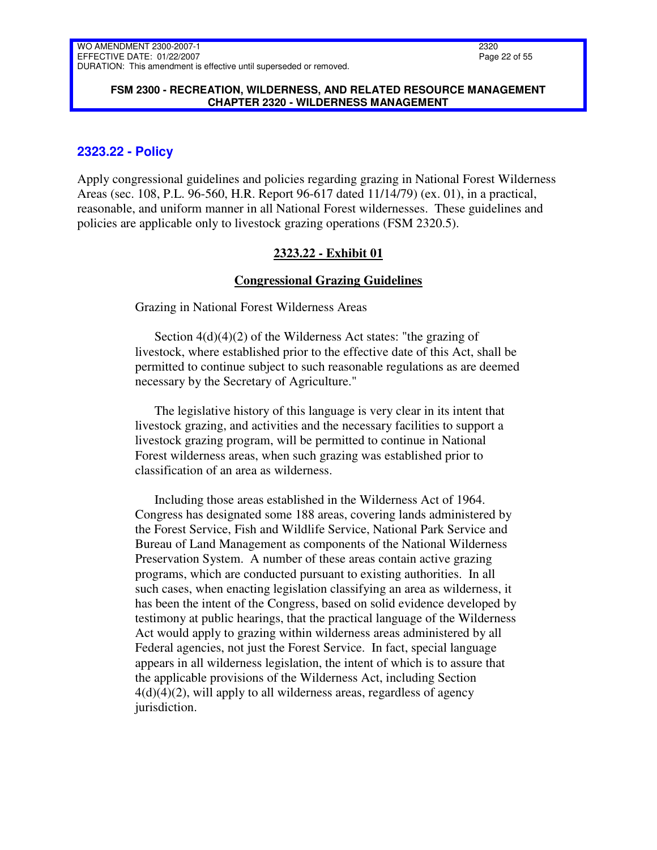#### **FSM 2300 - RECREATION, WILDERNESS, AND RELATED RESOURCE MANAGEMENT CHAPTER 2320 - WILDERNESS MANAGEMENT**

### <span id="page-21-0"></span>**2323.22 - Policy**

Apply congressional guidelines and policies regarding grazing in National Forest Wilderness Areas (sec. 108, P.L. 96-560, H.R. Report 96-617 dated 11/14/79) (ex. 01), in a practical, reasonable, and uniform manner in all National Forest wildernesses. These guidelines and policies are applicable only to livestock grazing operations (FSM 2320.5).

#### **2323.22 - Exhibit 01**

#### **Congressional Grazing Guidelines**

Grazing in National Forest Wilderness Areas

Section 4(d)(4)(2) of the Wilderness Act states: "the grazing of livestock, where established prior to the effective date of this Act, shall be permitted to continue subject to such reasonable regulations as are deemed necessary by the Secretary of Agriculture."

The legislative history of this language is very clear in its intent that livestock grazing, and activities and the necessary facilities to support a livestock grazing program, will be permitted to continue in National Forest wilderness areas, when such grazing was established prior to classification of an area as wilderness.

Including those areas established in the Wilderness Act of 1964. Congress has designated some 188 areas, covering lands administered by the Forest Service, Fish and Wildlife Service, National Park Service and Bureau of Land Management as components of the National Wilderness Preservation System. A number of these areas contain active grazing programs, which are conducted pursuant to existing authorities. In all such cases, when enacting legislation classifying an area as wilderness, it has been the intent of the Congress, based on solid evidence developed by testimony at public hearings, that the practical language of the Wilderness Act would apply to grazing within wilderness areas administered by all Federal agencies, not just the Forest Service. In fact, special language appears in all wilderness legislation, the intent of which is to assure that the applicable provisions of the Wilderness Act, including Section  $4(d)(4)(2)$ , will apply to all wilderness areas, regardless of agency jurisdiction.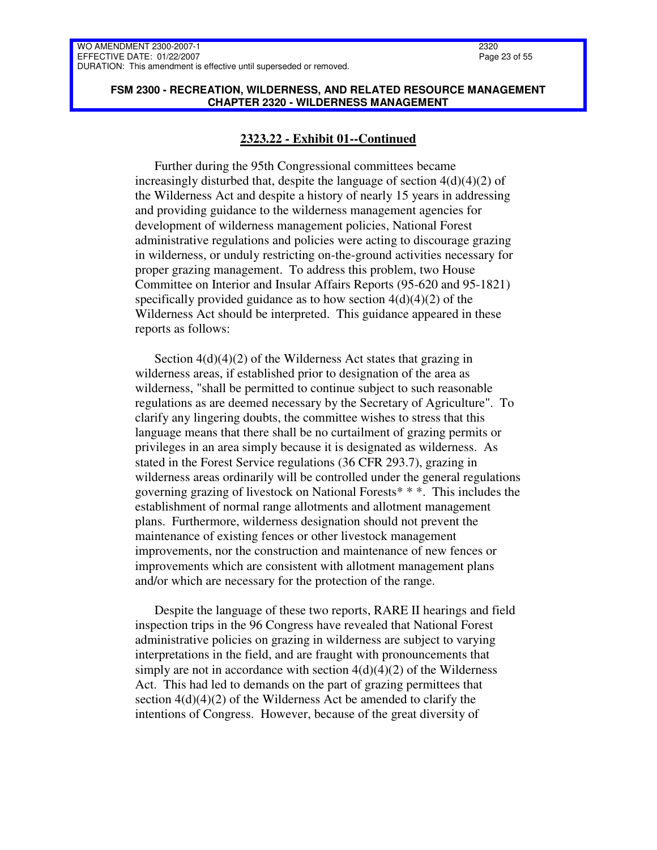#### **FSM 2300 - RECREATION, WILDERNESS, AND RELATED RESOURCE MANAGEMENT CHAPTER 2320 - WILDERNESS MANAGEMENT**

#### **2323.22 - Exhibit 01--Continued**

Further during the 95th Congressional committees became increasingly disturbed that, despite the language of section  $4(d)(4)(2)$  of the Wilderness Act and despite a history of nearly 15 years in addressing and providing guidance to the wilderness management agencies for development of wilderness management policies, National Forest administrative regulations and policies were acting to discourage grazing in wilderness, or unduly restricting on-the-ground activities necessary for proper grazing management. To address this problem, two House Committee on Interior and Insular Affairs Reports (95-620 and 95-1821) specifically provided guidance as to how section  $4(d)(4)(2)$  of the Wilderness Act should be interpreted. This guidance appeared in these reports as follows:

Section  $4(d)(4)(2)$  of the Wilderness Act states that grazing in wilderness areas, if established prior to designation of the area as wilderness, "shall be permitted to continue subject to such reasonable regulations as are deemed necessary by the Secretary of Agriculture". To clarify any lingering doubts, the committee wishes to stress that this language means that there shall be no curtailment of grazing permits or privileges in an area simply because it is designated as wilderness. As stated in the Forest Service regulations (36 CFR 293.7), grazing in wilderness areas ordinarily will be controlled under the general regulations governing grazing of livestock on National Forests\* \* \*. This includes the establishment of normal range allotments and allotment management plans. Furthermore, wilderness designation should not prevent the maintenance of existing fences or other livestock management improvements, nor the construction and maintenance of new fences or improvements which are consistent with allotment management plans and/or which are necessary for the protection of the range.

Despite the language of these two reports, RARE II hearings and field inspection trips in the 96 Congress have revealed that National Forest administrative policies on grazing in wilderness are subject to varying interpretations in the field, and are fraught with pronouncements that simply are not in accordance with section  $4(d)(4)(2)$  of the Wilderness Act. This had led to demands on the part of grazing permittees that section 4(d)(4)(2) of the Wilderness Act be amended to clarify the intentions of Congress. However, because of the great diversity of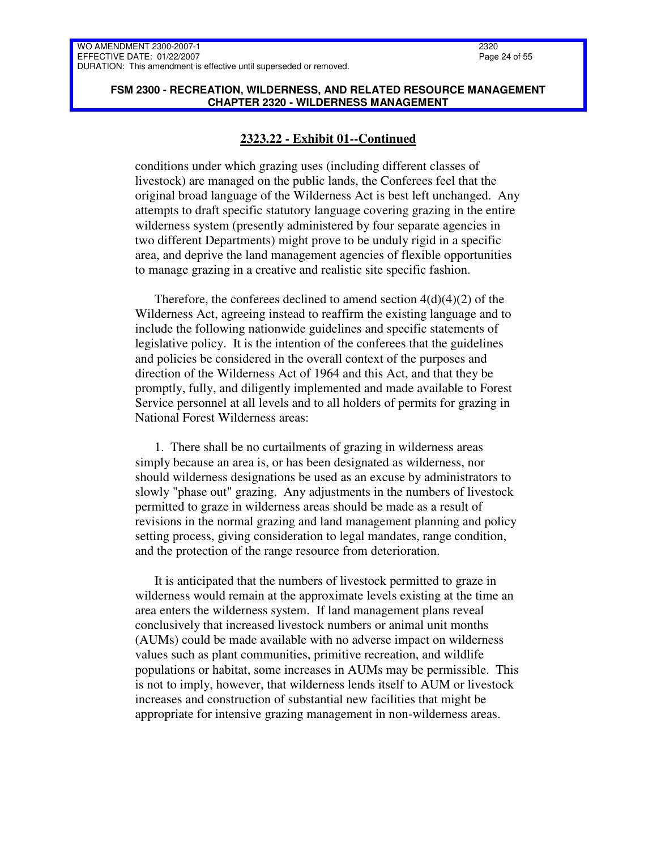#### **FSM 2300 - RECREATION, WILDERNESS, AND RELATED RESOURCE MANAGEMENT CHAPTER 2320 - WILDERNESS MANAGEMENT**

### **2323.22 - Exhibit 01--Continued**

conditions under which grazing uses (including different classes of livestock) are managed on the public lands, the Conferees feel that the original broad language of the Wilderness Act is best left unchanged. Any attempts to draft specific statutory language covering grazing in the entire wilderness system (presently administered by four separate agencies in two different Departments) might prove to be unduly rigid in a specific area, and deprive the land management agencies of flexible opportunities to manage grazing in a creative and realistic site specific fashion.

Therefore, the conferees declined to amend section  $4(d)(4)(2)$  of the Wilderness Act, agreeing instead to reaffirm the existing language and to include the following nationwide guidelines and specific statements of legislative policy. It is the intention of the conferees that the guidelines and policies be considered in the overall context of the purposes and direction of the Wilderness Act of 1964 and this Act, and that they be promptly, fully, and diligently implemented and made available to Forest Service personnel at all levels and to all holders of permits for grazing in National Forest Wilderness areas:

1. There shall be no curtailments of grazing in wilderness areas simply because an area is, or has been designated as wilderness, nor should wilderness designations be used as an excuse by administrators to slowly "phase out" grazing. Any adjustments in the numbers of livestock permitted to graze in wilderness areas should be made as a result of revisions in the normal grazing and land management planning and policy setting process, giving consideration to legal mandates, range condition, and the protection of the range resource from deterioration.

It is anticipated that the numbers of livestock permitted to graze in wilderness would remain at the approximate levels existing at the time an area enters the wilderness system. If land management plans reveal conclusively that increased livestock numbers or animal unit months (AUMs) could be made available with no adverse impact on wilderness values such as plant communities, primitive recreation, and wildlife populations or habitat, some increases in AUMs may be permissible. This is not to imply, however, that wilderness lends itself to AUM or livestock increases and construction of substantial new facilities that might be appropriate for intensive grazing management in non-wilderness areas.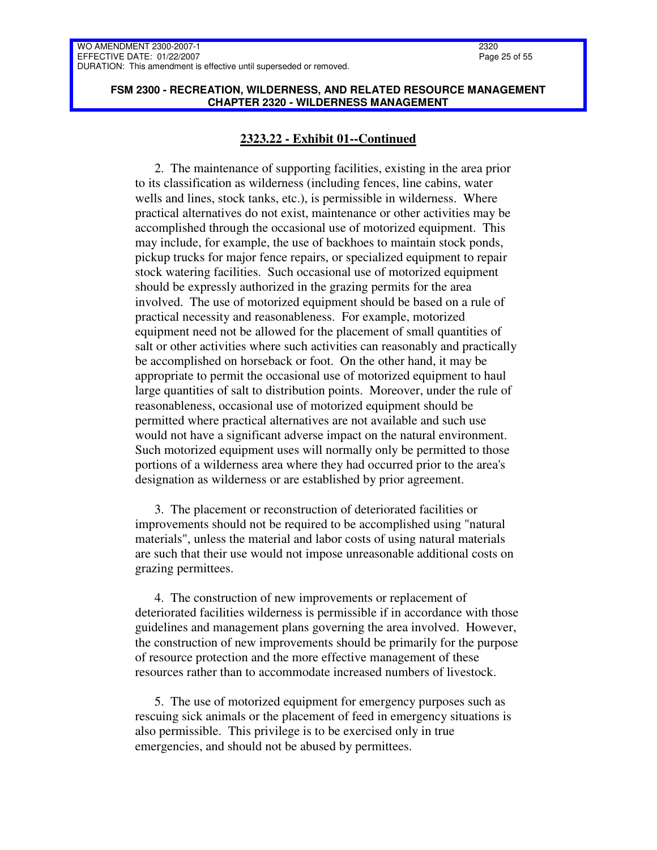2320 Page 25 of 55

#### **FSM 2300 - RECREATION, WILDERNESS, AND RELATED RESOURCE MANAGEMENT CHAPTER 2320 - WILDERNESS MANAGEMENT**

### **2323.22 - Exhibit 01--Continued**

2. The maintenance of supporting facilities, existing in the area prior to its classification as wilderness (including fences, line cabins, water wells and lines, stock tanks, etc.), is permissible in wilderness. Where practical alternatives do not exist, maintenance or other activities may be accomplished through the occasional use of motorized equipment. This may include, for example, the use of backhoes to maintain stock ponds, pickup trucks for major fence repairs, or specialized equipment to repair stock watering facilities. Such occasional use of motorized equipment should be expressly authorized in the grazing permits for the area involved. The use of motorized equipment should be based on a rule of practical necessity and reasonableness. For example, motorized equipment need not be allowed for the placement of small quantities of salt or other activities where such activities can reasonably and practically be accomplished on horseback or foot. On the other hand, it may be appropriate to permit the occasional use of motorized equipment to haul large quantities of salt to distribution points. Moreover, under the rule of reasonableness, occasional use of motorized equipment should be permitted where practical alternatives are not available and such use would not have a significant adverse impact on the natural environment. Such motorized equipment uses will normally only be permitted to those portions of a wilderness area where they had occurred prior to the area's designation as wilderness or are established by prior agreement.

3. The placement or reconstruction of deteriorated facilities or improvements should not be required to be accomplished using "natural materials", unless the material and labor costs of using natural materials are such that their use would not impose unreasonable additional costs on grazing permittees.

4. The construction of new improvements or replacement of deteriorated facilities wilderness is permissible if in accordance with those guidelines and management plans governing the area involved. However, the construction of new improvements should be primarily for the purpose of resource protection and the more effective management of these resources rather than to accommodate increased numbers of livestock.

5. The use of motorized equipment for emergency purposes such as rescuing sick animals or the placement of feed in emergency situations is also permissible. This privilege is to be exercised only in true emergencies, and should not be abused by permittees.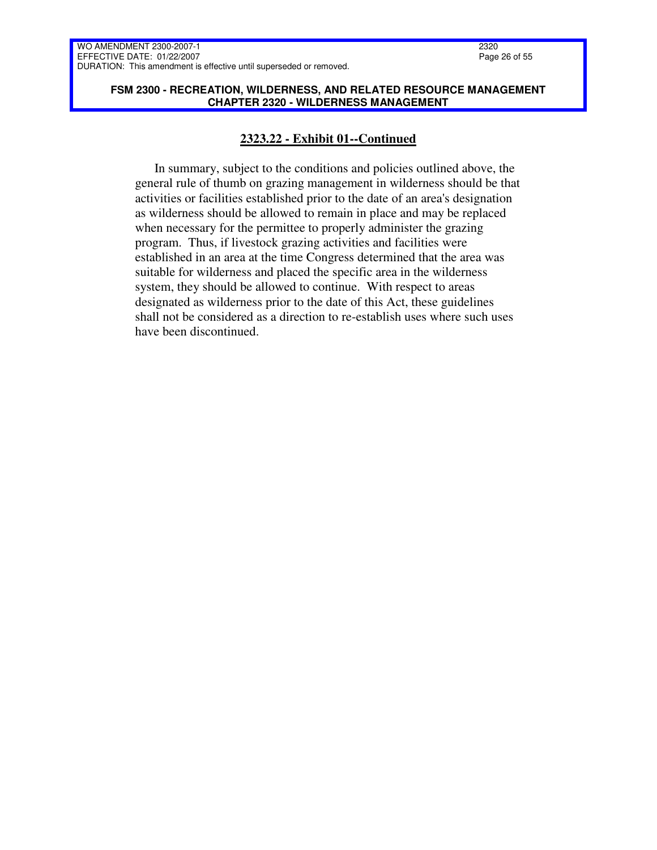#### **FSM 2300 - RECREATION, WILDERNESS, AND RELATED RESOURCE MANAGEMENT CHAPTER 2320 - WILDERNESS MANAGEMENT**

### **2323.22 - Exhibit 01--Continued**

In summary, subject to the conditions and policies outlined above, the general rule of thumb on grazing management in wilderness should be that activities or facilities established prior to the date of an area's designation as wilderness should be allowed to remain in place and may be replaced when necessary for the permittee to properly administer the grazing program. Thus, if livestock grazing activities and facilities were established in an area at the time Congress determined that the area was suitable for wilderness and placed the specific area in the wilderness system, they should be allowed to continue. With respect to areas designated as wilderness prior to the date of this Act, these guidelines shall not be considered as a direction to re-establish uses where such uses have been discontinued.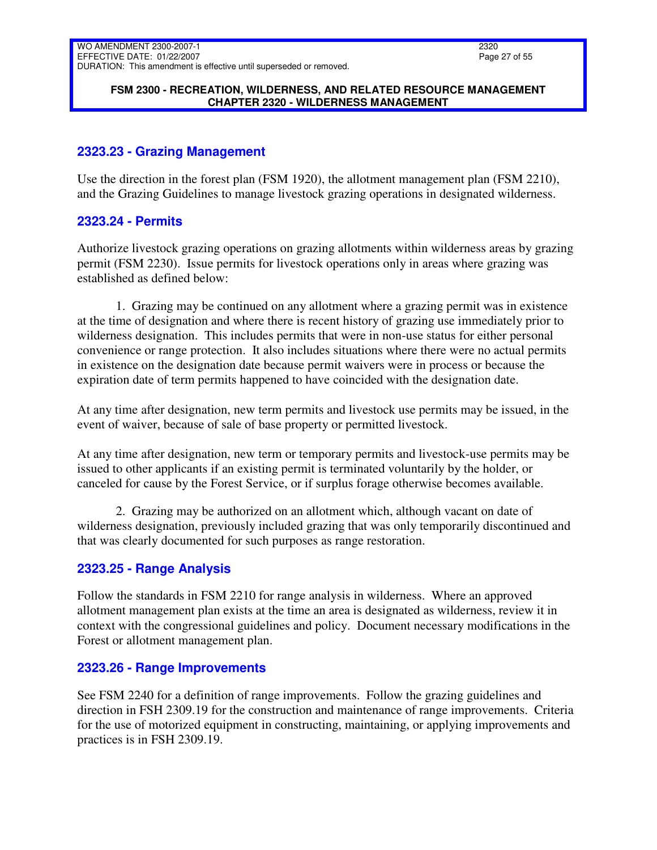### **FSM 2300 - RECREATION, WILDERNESS, AND RELATED RESOURCE MANAGEMENT CHAPTER 2320 - WILDERNESS MANAGEMENT**

# <span id="page-26-0"></span>**2323.23 - Grazing Management**

Use the direction in the forest plan (FSM 1920), the allotment management plan (FSM 2210), and the Grazing Guidelines to manage livestock grazing operations in designated wilderness.

### <span id="page-26-1"></span>**2323.24 - Permits**

Authorize livestock grazing operations on grazing allotments within wilderness areas by grazing permit (FSM 2230). Issue permits for livestock operations only in areas where grazing was established as defined below:

1. Grazing may be continued on any allotment where a grazing permit was in existence at the time of designation and where there is recent history of grazing use immediately prior to wilderness designation. This includes permits that were in non-use status for either personal convenience or range protection. It also includes situations where there were no actual permits in existence on the designation date because permit waivers were in process or because the expiration date of term permits happened to have coincided with the designation date.

At any time after designation, new term permits and livestock use permits may be issued, in the event of waiver, because of sale of base property or permitted livestock.

At any time after designation, new term or temporary permits and livestock-use permits may be issued to other applicants if an existing permit is terminated voluntarily by the holder, or canceled for cause by the Forest Service, or if surplus forage otherwise becomes available.

2. Grazing may be authorized on an allotment which, although vacant on date of wilderness designation, previously included grazing that was only temporarily discontinued and that was clearly documented for such purposes as range restoration.

# <span id="page-26-2"></span>**2323.25 - Range Analysis**

Follow the standards in FSM 2210 for range analysis in wilderness. Where an approved allotment management plan exists at the time an area is designated as wilderness, review it in context with the congressional guidelines and policy. Document necessary modifications in the Forest or allotment management plan.

# <span id="page-26-3"></span>**2323.26 - Range Improvements**

See FSM 2240 for a definition of range improvements. Follow the grazing guidelines and direction in FSH 2309.19 for the construction and maintenance of range improvements. Criteria for the use of motorized equipment in constructing, maintaining, or applying improvements and practices is in FSH 2309.19.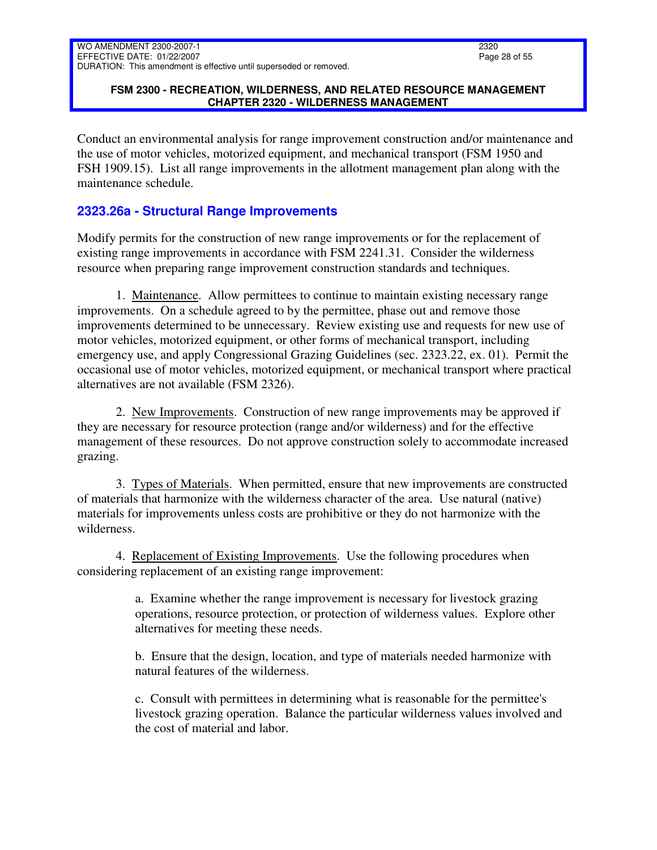### **FSM 2300 - RECREATION, WILDERNESS, AND RELATED RESOURCE MANAGEMENT CHAPTER 2320 - WILDERNESS MANAGEMENT**

Conduct an environmental analysis for range improvement construction and/or maintenance and the use of motor vehicles, motorized equipment, and mechanical transport (FSM 1950 and FSH 1909.15). List all range improvements in the allotment management plan along with the maintenance schedule.

# <span id="page-27-0"></span>**2323.26a - Structural Range Improvements**

Modify permits for the construction of new range improvements or for the replacement of existing range improvements in accordance with FSM 2241.31. Consider the wilderness resource when preparing range improvement construction standards and techniques.

1. Maintenance. Allow permittees to continue to maintain existing necessary range improvements. On a schedule agreed to by the permittee, phase out and remove those improvements determined to be unnecessary. Review existing use and requests for new use of motor vehicles, motorized equipment, or other forms of mechanical transport, including emergency use, and apply Congressional Grazing Guidelines (sec. 2323.22, ex. 01). Permit the occasional use of motor vehicles, motorized equipment, or mechanical transport where practical alternatives are not available (FSM 2326).

2. New Improvements. Construction of new range improvements may be approved if they are necessary for resource protection (range and/or wilderness) and for the effective management of these resources. Do not approve construction solely to accommodate increased grazing.

3. Types of Materials. When permitted, ensure that new improvements are constructed of materials that harmonize with the wilderness character of the area. Use natural (native) materials for improvements unless costs are prohibitive or they do not harmonize with the wilderness.

4. Replacement of Existing Improvements. Use the following procedures when considering replacement of an existing range improvement:

> a. Examine whether the range improvement is necessary for livestock grazing operations, resource protection, or protection of wilderness values. Explore other alternatives for meeting these needs.

> b. Ensure that the design, location, and type of materials needed harmonize with natural features of the wilderness.

c. Consult with permittees in determining what is reasonable for the permittee's livestock grazing operation. Balance the particular wilderness values involved and the cost of material and labor.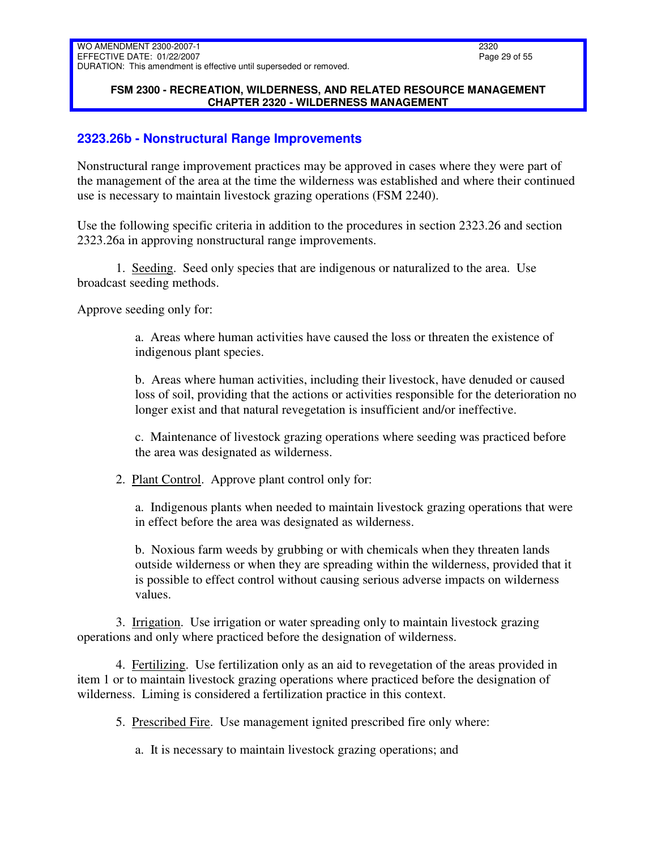#### **FSM 2300 - RECREATION, WILDERNESS, AND RELATED RESOURCE MANAGEMENT CHAPTER 2320 - WILDERNESS MANAGEMENT**

# <span id="page-28-0"></span>**2323.26b - Nonstructural Range Improvements**

Nonstructural range improvement practices may be approved in cases where they were part of the management of the area at the time the wilderness was established and where their continued use is necessary to maintain livestock grazing operations (FSM 2240).

Use the following specific criteria in addition to the procedures in section 2323.26 and section 2323.26a in approving nonstructural range improvements.

1. Seeding. Seed only species that are indigenous or naturalized to the area. Use broadcast seeding methods.

Approve seeding only for:

a. Areas where human activities have caused the loss or threaten the existence of indigenous plant species.

b. Areas where human activities, including their livestock, have denuded or caused loss of soil, providing that the actions or activities responsible for the deterioration no longer exist and that natural revegetation is insufficient and/or ineffective.

c. Maintenance of livestock grazing operations where seeding was practiced before the area was designated as wilderness.

2. Plant Control. Approve plant control only for:

a. Indigenous plants when needed to maintain livestock grazing operations that were in effect before the area was designated as wilderness.

b. Noxious farm weeds by grubbing or with chemicals when they threaten lands outside wilderness or when they are spreading within the wilderness, provided that it is possible to effect control without causing serious adverse impacts on wilderness values.

3. Irrigation. Use irrigation or water spreading only to maintain livestock grazing operations and only where practiced before the designation of wilderness.

4. Fertilizing. Use fertilization only as an aid to revegetation of the areas provided in item 1 or to maintain livestock grazing operations where practiced before the designation of wilderness. Liming is considered a fertilization practice in this context.

5. Prescribed Fire. Use management ignited prescribed fire only where:

a. It is necessary to maintain livestock grazing operations; and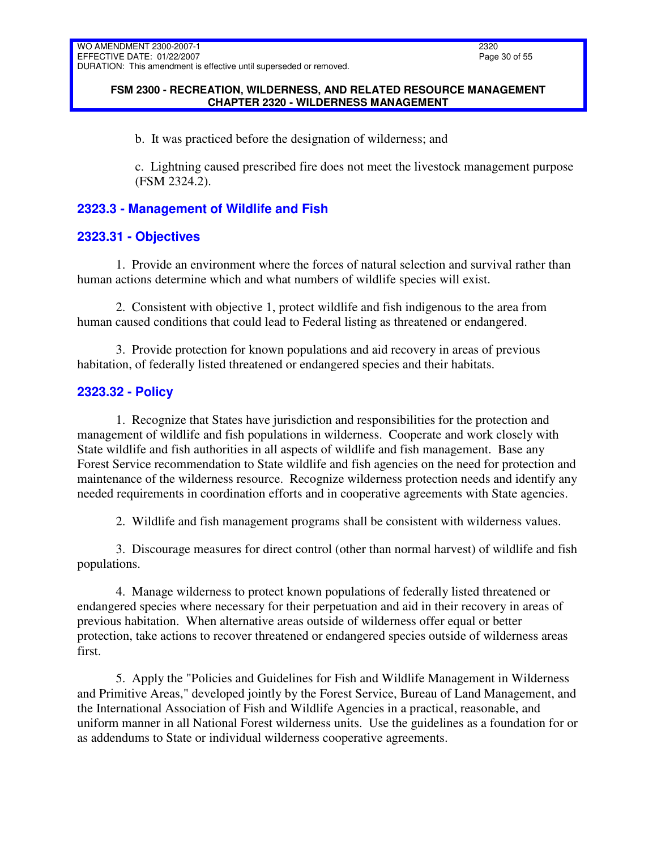### **FSM 2300 - RECREATION, WILDERNESS, AND RELATED RESOURCE MANAGEMENT CHAPTER 2320 - WILDERNESS MANAGEMENT**

b. It was practiced before the designation of wilderness; and

c. Lightning caused prescribed fire does not meet the livestock management purpose (FSM 2324.2).

# <span id="page-29-0"></span>**2323.3 - Management of Wildlife and Fish**

# <span id="page-29-1"></span>**2323.31 - Objectives**

1. Provide an environment where the forces of natural selection and survival rather than human actions determine which and what numbers of wildlife species will exist.

2. Consistent with objective 1, protect wildlife and fish indigenous to the area from human caused conditions that could lead to Federal listing as threatened or endangered.

3. Provide protection for known populations and aid recovery in areas of previous habitation, of federally listed threatened or endangered species and their habitats.

# <span id="page-29-2"></span>**2323.32 - Policy**

1. Recognize that States have jurisdiction and responsibilities for the protection and management of wildlife and fish populations in wilderness. Cooperate and work closely with State wildlife and fish authorities in all aspects of wildlife and fish management. Base any Forest Service recommendation to State wildlife and fish agencies on the need for protection and maintenance of the wilderness resource. Recognize wilderness protection needs and identify any needed requirements in coordination efforts and in cooperative agreements with State agencies.

2. Wildlife and fish management programs shall be consistent with wilderness values.

3. Discourage measures for direct control (other than normal harvest) of wildlife and fish populations.

4. Manage wilderness to protect known populations of federally listed threatened or endangered species where necessary for their perpetuation and aid in their recovery in areas of previous habitation. When alternative areas outside of wilderness offer equal or better protection, take actions to recover threatened or endangered species outside of wilderness areas first.

5. Apply the "Policies and Guidelines for Fish and Wildlife Management in Wilderness and Primitive Areas," developed jointly by the Forest Service, Bureau of Land Management, and the International Association of Fish and Wildlife Agencies in a practical, reasonable, and uniform manner in all National Forest wilderness units. Use the guidelines as a foundation for or as addendums to State or individual wilderness cooperative agreements.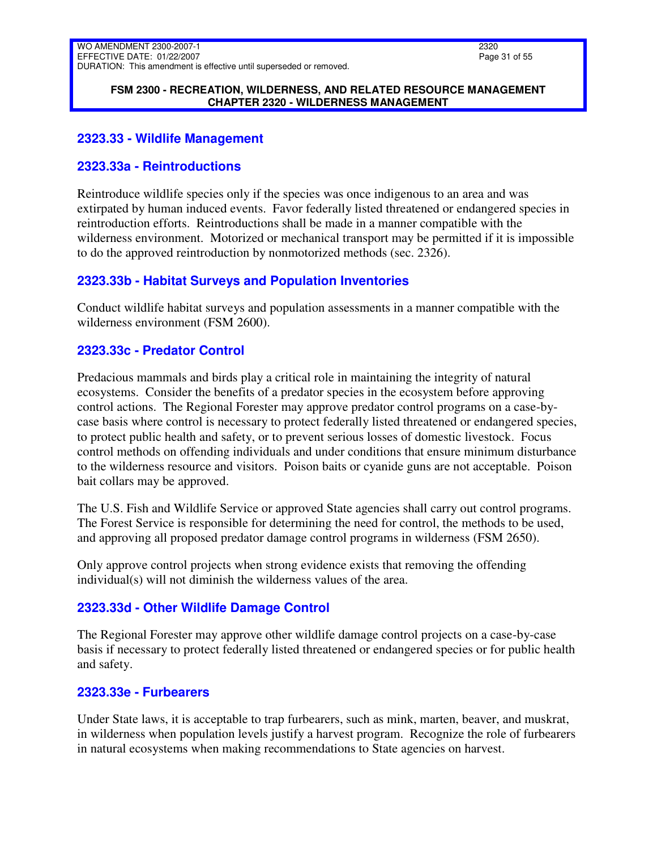#### **FSM 2300 - RECREATION, WILDERNESS, AND RELATED RESOURCE MANAGEMENT CHAPTER 2320 - WILDERNESS MANAGEMENT**

## <span id="page-30-0"></span>**2323.33 - Wildlife Management**

### <span id="page-30-1"></span>**2323.33a - Reintroductions**

Reintroduce wildlife species only if the species was once indigenous to an area and was extirpated by human induced events. Favor federally listed threatened or endangered species in reintroduction efforts. Reintroductions shall be made in a manner compatible with the wilderness environment. Motorized or mechanical transport may be permitted if it is impossible to do the approved reintroduction by nonmotorized methods (sec. 2326).

# <span id="page-30-2"></span>**2323.33b - Habitat Surveys and Population Inventories**

Conduct wildlife habitat surveys and population assessments in a manner compatible with the wilderness environment (FSM 2600).

# <span id="page-30-3"></span>**2323.33c - Predator Control**

Predacious mammals and birds play a critical role in maintaining the integrity of natural ecosystems. Consider the benefits of a predator species in the ecosystem before approving control actions. The Regional Forester may approve predator control programs on a case-bycase basis where control is necessary to protect federally listed threatened or endangered species, to protect public health and safety, or to prevent serious losses of domestic livestock. Focus control methods on offending individuals and under conditions that ensure minimum disturbance to the wilderness resource and visitors. Poison baits or cyanide guns are not acceptable. Poison bait collars may be approved.

The U.S. Fish and Wildlife Service or approved State agencies shall carry out control programs. The Forest Service is responsible for determining the need for control, the methods to be used, and approving all proposed predator damage control programs in wilderness (FSM 2650).

Only approve control projects when strong evidence exists that removing the offending individual(s) will not diminish the wilderness values of the area.

# <span id="page-30-4"></span>**2323.33d - Other Wildlife Damage Control**

The Regional Forester may approve other wildlife damage control projects on a case-by-case basis if necessary to protect federally listed threatened or endangered species or for public health and safety.

# <span id="page-30-5"></span>**2323.33e - Furbearers**

Under State laws, it is acceptable to trap furbearers, such as mink, marten, beaver, and muskrat, in wilderness when population levels justify a harvest program. Recognize the role of furbearers in natural ecosystems when making recommendations to State agencies on harvest.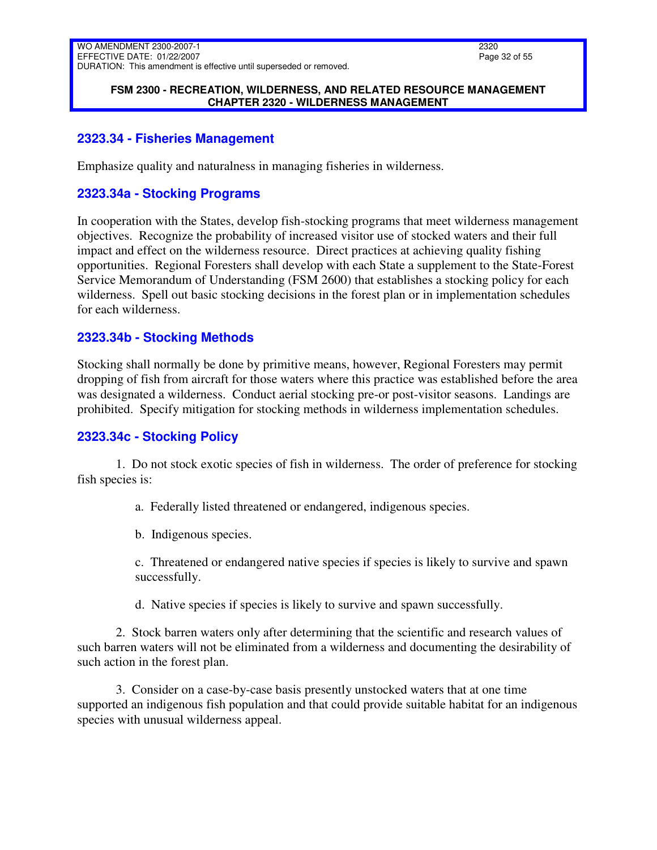#### **FSM 2300 - RECREATION, WILDERNESS, AND RELATED RESOURCE MANAGEMENT CHAPTER 2320 - WILDERNESS MANAGEMENT**

## <span id="page-31-0"></span>**2323.34 - Fisheries Management**

<span id="page-31-1"></span>Emphasize quality and naturalness in managing fisheries in wilderness.

## **2323.34a - Stocking Programs**

In cooperation with the States, develop fish-stocking programs that meet wilderness management objectives. Recognize the probability of increased visitor use of stocked waters and their full impact and effect on the wilderness resource. Direct practices at achieving quality fishing opportunities. Regional Foresters shall develop with each State a supplement to the State-Forest Service Memorandum of Understanding (FSM 2600) that establishes a stocking policy for each wilderness. Spell out basic stocking decisions in the forest plan or in implementation schedules for each wilderness.

### <span id="page-31-2"></span>**2323.34b - Stocking Methods**

Stocking shall normally be done by primitive means, however, Regional Foresters may permit dropping of fish from aircraft for those waters where this practice was established before the area was designated a wilderness. Conduct aerial stocking pre-or post-visitor seasons. Landings are prohibited. Specify mitigation for stocking methods in wilderness implementation schedules.

### <span id="page-31-3"></span>**2323.34c - Stocking Policy**

1. Do not stock exotic species of fish in wilderness. The order of preference for stocking fish species is:

a. Federally listed threatened or endangered, indigenous species.

b. Indigenous species.

c. Threatened or endangered native species if species is likely to survive and spawn successfully.

d. Native species if species is likely to survive and spawn successfully.

2. Stock barren waters only after determining that the scientific and research values of such barren waters will not be eliminated from a wilderness and documenting the desirability of such action in the forest plan.

3. Consider on a case-by-case basis presently unstocked waters that at one time supported an indigenous fish population and that could provide suitable habitat for an indigenous species with unusual wilderness appeal.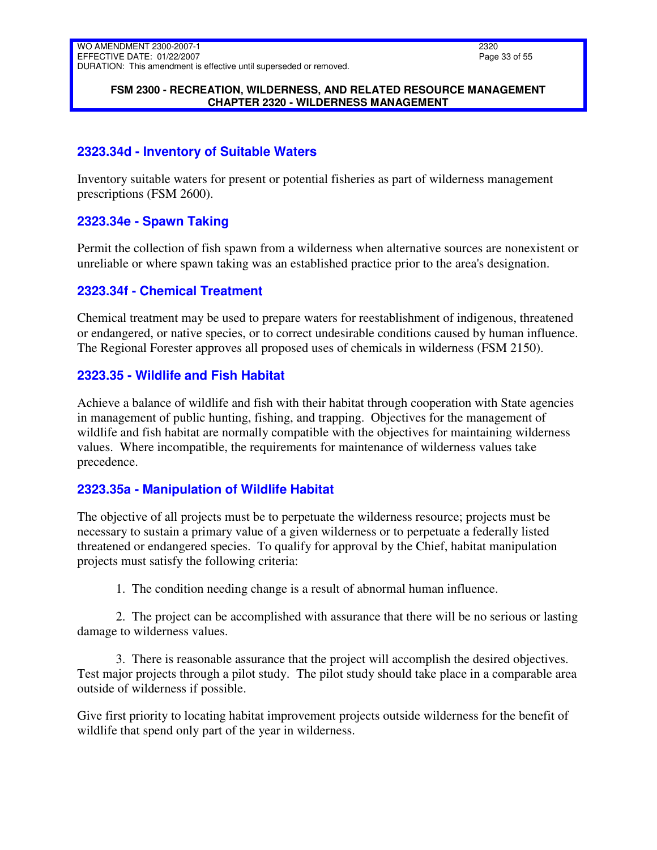#### **FSM 2300 - RECREATION, WILDERNESS, AND RELATED RESOURCE MANAGEMENT CHAPTER 2320 - WILDERNESS MANAGEMENT**

# <span id="page-32-0"></span>**2323.34d - Inventory of Suitable Waters**

Inventory suitable waters for present or potential fisheries as part of wilderness management prescriptions (FSM 2600).

# <span id="page-32-1"></span>**2323.34e - Spawn Taking**

Permit the collection of fish spawn from a wilderness when alternative sources are nonexistent or unreliable or where spawn taking was an established practice prior to the area's designation.

### <span id="page-32-2"></span>**2323.34f - Chemical Treatment**

Chemical treatment may be used to prepare waters for reestablishment of indigenous, threatened or endangered, or native species, or to correct undesirable conditions caused by human influence. The Regional Forester approves all proposed uses of chemicals in wilderness (FSM 2150).

### <span id="page-32-3"></span>**2323.35 - Wildlife and Fish Habitat**

Achieve a balance of wildlife and fish with their habitat through cooperation with State agencies in management of public hunting, fishing, and trapping. Objectives for the management of wildlife and fish habitat are normally compatible with the objectives for maintaining wilderness values. Where incompatible, the requirements for maintenance of wilderness values take precedence.

# <span id="page-32-4"></span>**2323.35a - Manipulation of Wildlife Habitat**

The objective of all projects must be to perpetuate the wilderness resource; projects must be necessary to sustain a primary value of a given wilderness or to perpetuate a federally listed threatened or endangered species. To qualify for approval by the Chief, habitat manipulation projects must satisfy the following criteria:

1. The condition needing change is a result of abnormal human influence.

2. The project can be accomplished with assurance that there will be no serious or lasting damage to wilderness values.

3. There is reasonable assurance that the project will accomplish the desired objectives. Test major projects through a pilot study. The pilot study should take place in a comparable area outside of wilderness if possible.

Give first priority to locating habitat improvement projects outside wilderness for the benefit of wildlife that spend only part of the year in wilderness.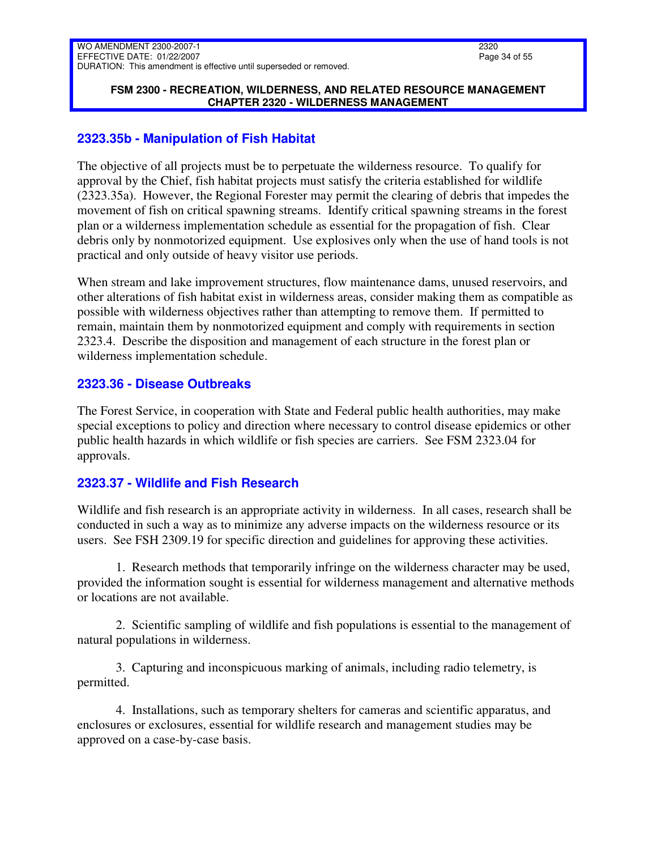#### **FSM 2300 - RECREATION, WILDERNESS, AND RELATED RESOURCE MANAGEMENT CHAPTER 2320 - WILDERNESS MANAGEMENT**

## <span id="page-33-0"></span>**2323.35b - Manipulation of Fish Habitat**

The objective of all projects must be to perpetuate the wilderness resource. To qualify for approval by the Chief, fish habitat projects must satisfy the criteria established for wildlife (2323.35a). However, the Regional Forester may permit the clearing of debris that impedes the movement of fish on critical spawning streams. Identify critical spawning streams in the forest plan or a wilderness implementation schedule as essential for the propagation of fish. Clear debris only by nonmotorized equipment. Use explosives only when the use of hand tools is not practical and only outside of heavy visitor use periods.

When stream and lake improvement structures, flow maintenance dams, unused reservoirs, and other alterations of fish habitat exist in wilderness areas, consider making them as compatible as possible with wilderness objectives rather than attempting to remove them. If permitted to remain, maintain them by nonmotorized equipment and comply with requirements in section 2323.4. Describe the disposition and management of each structure in the forest plan or wilderness implementation schedule.

### <span id="page-33-1"></span>**2323.36 - Disease Outbreaks**

The Forest Service, in cooperation with State and Federal public health authorities, may make special exceptions to policy and direction where necessary to control disease epidemics or other public health hazards in which wildlife or fish species are carriers. See FSM 2323.04 for approvals.

# <span id="page-33-2"></span>**2323.37 - Wildlife and Fish Research**

Wildlife and fish research is an appropriate activity in wilderness. In all cases, research shall be conducted in such a way as to minimize any adverse impacts on the wilderness resource or its users. See FSH 2309.19 for specific direction and guidelines for approving these activities.

1. Research methods that temporarily infringe on the wilderness character may be used, provided the information sought is essential for wilderness management and alternative methods or locations are not available.

2. Scientific sampling of wildlife and fish populations is essential to the management of natural populations in wilderness.

3. Capturing and inconspicuous marking of animals, including radio telemetry, is permitted.

4. Installations, such as temporary shelters for cameras and scientific apparatus, and enclosures or exclosures, essential for wildlife research and management studies may be approved on a case-by-case basis.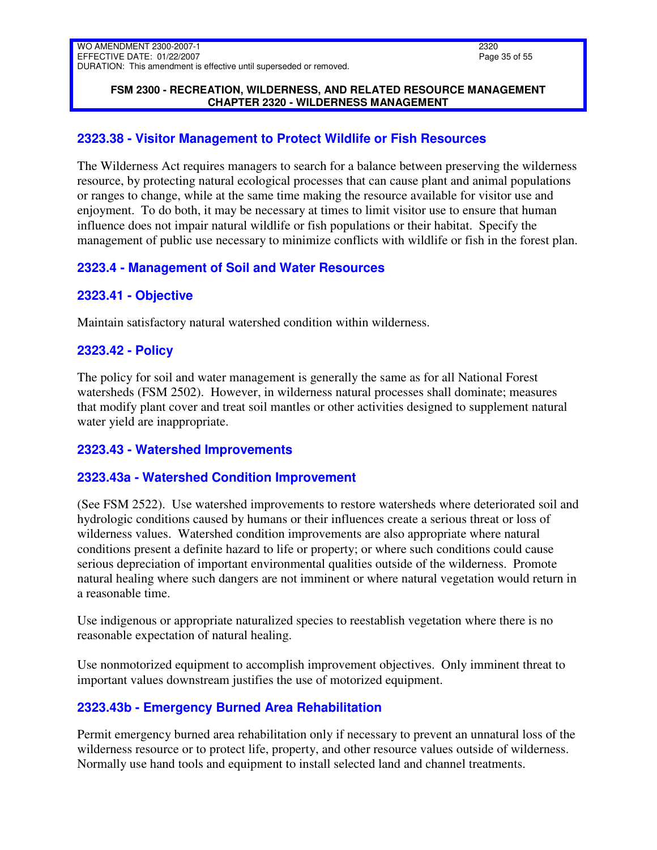#### **FSM 2300 - RECREATION, WILDERNESS, AND RELATED RESOURCE MANAGEMENT CHAPTER 2320 - WILDERNESS MANAGEMENT**

# <span id="page-34-0"></span>**2323.38 - Visitor Management to Protect Wildlife or Fish Resources**

The Wilderness Act requires managers to search for a balance between preserving the wilderness resource, by protecting natural ecological processes that can cause plant and animal populations or ranges to change, while at the same time making the resource available for visitor use and enjoyment. To do both, it may be necessary at times to limit visitor use to ensure that human influence does not impair natural wildlife or fish populations or their habitat. Specify the management of public use necessary to minimize conflicts with wildlife or fish in the forest plan.

# <span id="page-34-1"></span>**2323.4 - Management of Soil and Water Resources**

# <span id="page-34-2"></span>**2323.41 - Objective**

Maintain satisfactory natural watershed condition within wilderness.

### <span id="page-34-3"></span>**2323.42 - Policy**

The policy for soil and water management is generally the same as for all National Forest watersheds (FSM 2502). However, in wilderness natural processes shall dominate; measures that modify plant cover and treat soil mantles or other activities designed to supplement natural water yield are inappropriate.

# <span id="page-34-4"></span>**2323.43 - Watershed Improvements**

# <span id="page-34-5"></span>**2323.43a - Watershed Condition Improvement**

(See FSM 2522). Use watershed improvements to restore watersheds where deteriorated soil and hydrologic conditions caused by humans or their influences create a serious threat or loss of wilderness values. Watershed condition improvements are also appropriate where natural conditions present a definite hazard to life or property; or where such conditions could cause serious depreciation of important environmental qualities outside of the wilderness. Promote natural healing where such dangers are not imminent or where natural vegetation would return in a reasonable time.

Use indigenous or appropriate naturalized species to reestablish vegetation where there is no reasonable expectation of natural healing.

Use nonmotorized equipment to accomplish improvement objectives. Only imminent threat to important values downstream justifies the use of motorized equipment.

# <span id="page-34-6"></span>**2323.43b - Emergency Burned Area Rehabilitation**

Permit emergency burned area rehabilitation only if necessary to prevent an unnatural loss of the wilderness resource or to protect life, property, and other resource values outside of wilderness. Normally use hand tools and equipment to install selected land and channel treatments.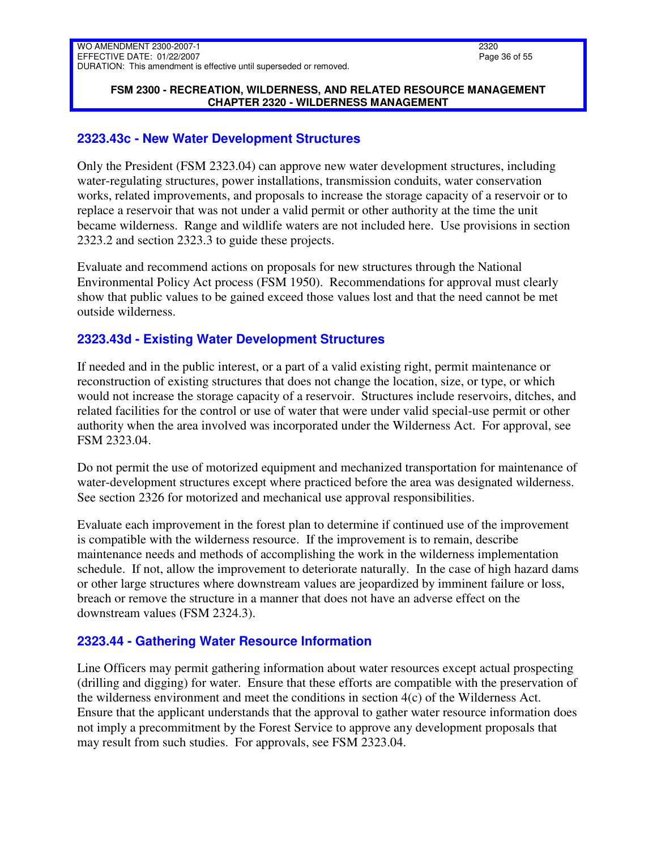#### **FSM 2300 - RECREATION, WILDERNESS, AND RELATED RESOURCE MANAGEMENT CHAPTER 2320 - WILDERNESS MANAGEMENT**

### <span id="page-35-0"></span>**2323.43c - New Water Development Structures**

Only the President (FSM 2323.04) can approve new water development structures, including water-regulating structures, power installations, transmission conduits, water conservation works, related improvements, and proposals to increase the storage capacity of a reservoir or to replace a reservoir that was not under a valid permit or other authority at the time the unit became wilderness. Range and wildlife waters are not included here. Use provisions in section 2323.2 and section 2323.3 to guide these projects.

Evaluate and recommend actions on proposals for new structures through the National Environmental Policy Act process (FSM 1950). Recommendations for approval must clearly show that public values to be gained exceed those values lost and that the need cannot be met outside wilderness.

# <span id="page-35-1"></span>**2323.43d - Existing Water Development Structures**

If needed and in the public interest, or a part of a valid existing right, permit maintenance or reconstruction of existing structures that does not change the location, size, or type, or which would not increase the storage capacity of a reservoir. Structures include reservoirs, ditches, and related facilities for the control or use of water that were under valid special-use permit or other authority when the area involved was incorporated under the Wilderness Act. For approval, see FSM 2323.04.

Do not permit the use of motorized equipment and mechanized transportation for maintenance of water-development structures except where practiced before the area was designated wilderness. See section 2326 for motorized and mechanical use approval responsibilities.

Evaluate each improvement in the forest plan to determine if continued use of the improvement is compatible with the wilderness resource. If the improvement is to remain, describe maintenance needs and methods of accomplishing the work in the wilderness implementation schedule. If not, allow the improvement to deteriorate naturally. In the case of high hazard dams or other large structures where downstream values are jeopardized by imminent failure or loss, breach or remove the structure in a manner that does not have an adverse effect on the downstream values (FSM 2324.3).

# <span id="page-35-2"></span>**2323.44 - Gathering Water Resource Information**

Line Officers may permit gathering information about water resources except actual prospecting (drilling and digging) for water. Ensure that these efforts are compatible with the preservation of the wilderness environment and meet the conditions in section 4(c) of the Wilderness Act. Ensure that the applicant understands that the approval to gather water resource information does not imply a precommitment by the Forest Service to approve any development proposals that may result from such studies. For approvals, see FSM 2323.04.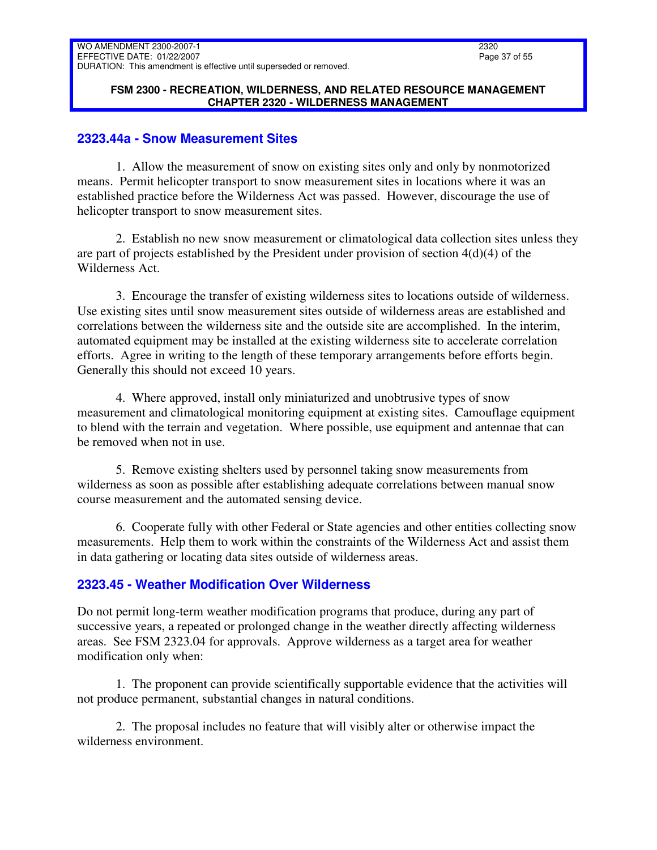#### **FSM 2300 - RECREATION, WILDERNESS, AND RELATED RESOURCE MANAGEMENT CHAPTER 2320 - WILDERNESS MANAGEMENT**

### <span id="page-36-0"></span>**2323.44a - Snow Measurement Sites**

1. Allow the measurement of snow on existing sites only and only by nonmotorized means. Permit helicopter transport to snow measurement sites in locations where it was an established practice before the Wilderness Act was passed. However, discourage the use of helicopter transport to snow measurement sites.

2. Establish no new snow measurement or climatological data collection sites unless they are part of projects established by the President under provision of section 4(d)(4) of the Wilderness Act.

3. Encourage the transfer of existing wilderness sites to locations outside of wilderness. Use existing sites until snow measurement sites outside of wilderness areas are established and correlations between the wilderness site and the outside site are accomplished. In the interim, automated equipment may be installed at the existing wilderness site to accelerate correlation efforts. Agree in writing to the length of these temporary arrangements before efforts begin. Generally this should not exceed 10 years.

4. Where approved, install only miniaturized and unobtrusive types of snow measurement and climatological monitoring equipment at existing sites. Camouflage equipment to blend with the terrain and vegetation. Where possible, use equipment and antennae that can be removed when not in use.

5. Remove existing shelters used by personnel taking snow measurements from wilderness as soon as possible after establishing adequate correlations between manual snow course measurement and the automated sensing device.

6. Cooperate fully with other Federal or State agencies and other entities collecting snow measurements. Help them to work within the constraints of the Wilderness Act and assist them in data gathering or locating data sites outside of wilderness areas.

# <span id="page-36-1"></span>**2323.45 - Weather Modification Over Wilderness**

Do not permit long-term weather modification programs that produce, during any part of successive years, a repeated or prolonged change in the weather directly affecting wilderness areas. See FSM 2323.04 for approvals. Approve wilderness as a target area for weather modification only when:

1. The proponent can provide scientifically supportable evidence that the activities will not produce permanent, substantial changes in natural conditions.

2. The proposal includes no feature that will visibly alter or otherwise impact the wilderness environment.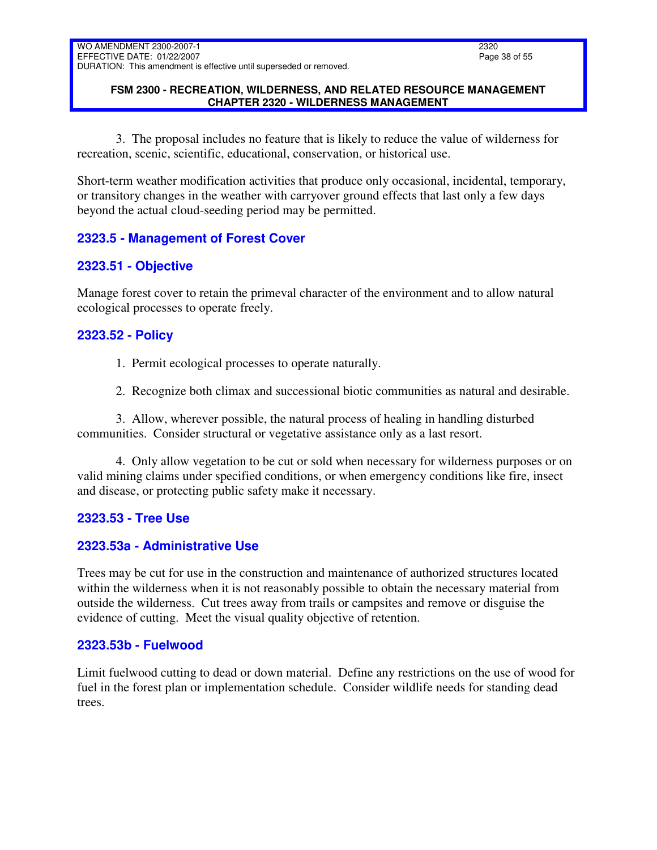### **FSM 2300 - RECREATION, WILDERNESS, AND RELATED RESOURCE MANAGEMENT CHAPTER 2320 - WILDERNESS MANAGEMENT**

3. The proposal includes no feature that is likely to reduce the value of wilderness for recreation, scenic, scientific, educational, conservation, or historical use.

Short-term weather modification activities that produce only occasional, incidental, temporary, or transitory changes in the weather with carryover ground effects that last only a few days beyond the actual cloud-seeding period may be permitted.

# <span id="page-37-0"></span>**2323.5 - Management of Forest Cover**

# <span id="page-37-1"></span>**2323.51 - Objective**

Manage forest cover to retain the primeval character of the environment and to allow natural ecological processes to operate freely.

# <span id="page-37-2"></span>**2323.52 - Policy**

- 1. Permit ecological processes to operate naturally.
- 2. Recognize both climax and successional biotic communities as natural and desirable.

3. Allow, wherever possible, the natural process of healing in handling disturbed communities. Consider structural or vegetative assistance only as a last resort.

4. Only allow vegetation to be cut or sold when necessary for wilderness purposes or on valid mining claims under specified conditions, or when emergency conditions like fire, insect and disease, or protecting public safety make it necessary.

# <span id="page-37-3"></span>**2323.53 - Tree Use**

# <span id="page-37-4"></span>**2323.53a - Administrative Use**

Trees may be cut for use in the construction and maintenance of authorized structures located within the wilderness when it is not reasonably possible to obtain the necessary material from outside the wilderness. Cut trees away from trails or campsites and remove or disguise the evidence of cutting. Meet the visual quality objective of retention.

### <span id="page-37-5"></span>**2323.53b - Fuelwood**

Limit fuelwood cutting to dead or down material. Define any restrictions on the use of wood for fuel in the forest plan or implementation schedule. Consider wildlife needs for standing dead trees.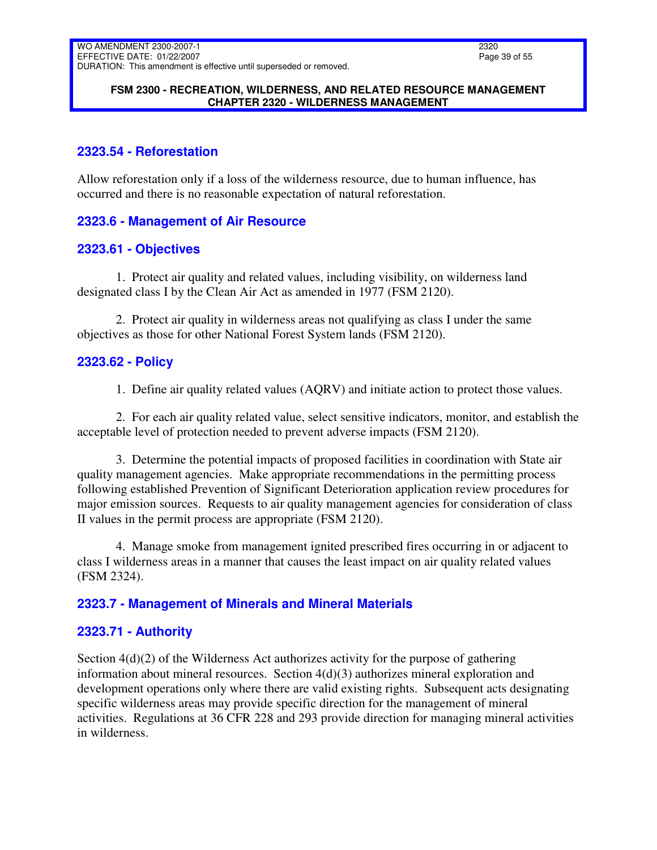### **FSM 2300 - RECREATION, WILDERNESS, AND RELATED RESOURCE MANAGEMENT CHAPTER 2320 - WILDERNESS MANAGEMENT**

# <span id="page-38-0"></span>**2323.54 - Reforestation**

Allow reforestation only if a loss of the wilderness resource, due to human influence, has occurred and there is no reasonable expectation of natural reforestation.

# <span id="page-38-1"></span>**2323.6 - Management of Air Resource**

# <span id="page-38-2"></span>**2323.61 - Objectives**

1. Protect air quality and related values, including visibility, on wilderness land designated class I by the Clean Air Act as amended in 1977 (FSM 2120).

2. Protect air quality in wilderness areas not qualifying as class I under the same objectives as those for other National Forest System lands (FSM 2120).

# <span id="page-38-3"></span>**2323.62 - Policy**

1. Define air quality related values (AQRV) and initiate action to protect those values.

2. For each air quality related value, select sensitive indicators, monitor, and establish the acceptable level of protection needed to prevent adverse impacts (FSM 2120).

3. Determine the potential impacts of proposed facilities in coordination with State air quality management agencies. Make appropriate recommendations in the permitting process following established Prevention of Significant Deterioration application review procedures for major emission sources. Requests to air quality management agencies for consideration of class II values in the permit process are appropriate (FSM 2120).

4. Manage smoke from management ignited prescribed fires occurring in or adjacent to class I wilderness areas in a manner that causes the least impact on air quality related values (FSM 2324).

# <span id="page-38-4"></span>**2323.7 - Management of Minerals and Mineral Materials**

# <span id="page-38-5"></span>**2323.71 - Authority**

Section  $4(d)(2)$  of the Wilderness Act authorizes activity for the purpose of gathering information about mineral resources. Section 4(d)(3) authorizes mineral exploration and development operations only where there are valid existing rights. Subsequent acts designating specific wilderness areas may provide specific direction for the management of mineral activities. Regulations at 36 CFR 228 and 293 provide direction for managing mineral activities in wilderness.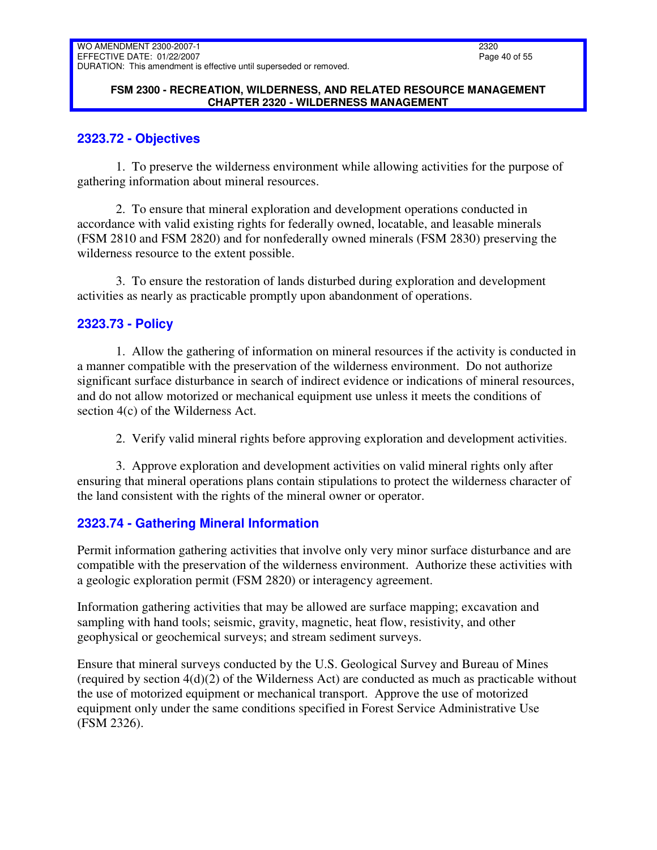### **FSM 2300 - RECREATION, WILDERNESS, AND RELATED RESOURCE MANAGEMENT CHAPTER 2320 - WILDERNESS MANAGEMENT**

# <span id="page-39-0"></span>**2323.72 - Objectives**

1. To preserve the wilderness environment while allowing activities for the purpose of gathering information about mineral resources.

2. To ensure that mineral exploration and development operations conducted in accordance with valid existing rights for federally owned, locatable, and leasable minerals (FSM 2810 and FSM 2820) and for nonfederally owned minerals (FSM 2830) preserving the wilderness resource to the extent possible.

3. To ensure the restoration of lands disturbed during exploration and development activities as nearly as practicable promptly upon abandonment of operations.

# <span id="page-39-1"></span>**2323.73 - Policy**

1. Allow the gathering of information on mineral resources if the activity is conducted in a manner compatible with the preservation of the wilderness environment. Do not authorize significant surface disturbance in search of indirect evidence or indications of mineral resources, and do not allow motorized or mechanical equipment use unless it meets the conditions of section 4(c) of the Wilderness Act.

2. Verify valid mineral rights before approving exploration and development activities.

3. Approve exploration and development activities on valid mineral rights only after ensuring that mineral operations plans contain stipulations to protect the wilderness character of the land consistent with the rights of the mineral owner or operator.

# <span id="page-39-2"></span>**2323.74 - Gathering Mineral Information**

Permit information gathering activities that involve only very minor surface disturbance and are compatible with the preservation of the wilderness environment. Authorize these activities with a geologic exploration permit (FSM 2820) or interagency agreement.

Information gathering activities that may be allowed are surface mapping; excavation and sampling with hand tools; seismic, gravity, magnetic, heat flow, resistivity, and other geophysical or geochemical surveys; and stream sediment surveys.

Ensure that mineral surveys conducted by the U.S. Geological Survey and Bureau of Mines (required by section 4(d)(2) of the Wilderness Act) are conducted as much as practicable without the use of motorized equipment or mechanical transport. Approve the use of motorized equipment only under the same conditions specified in Forest Service Administrative Use (FSM 2326).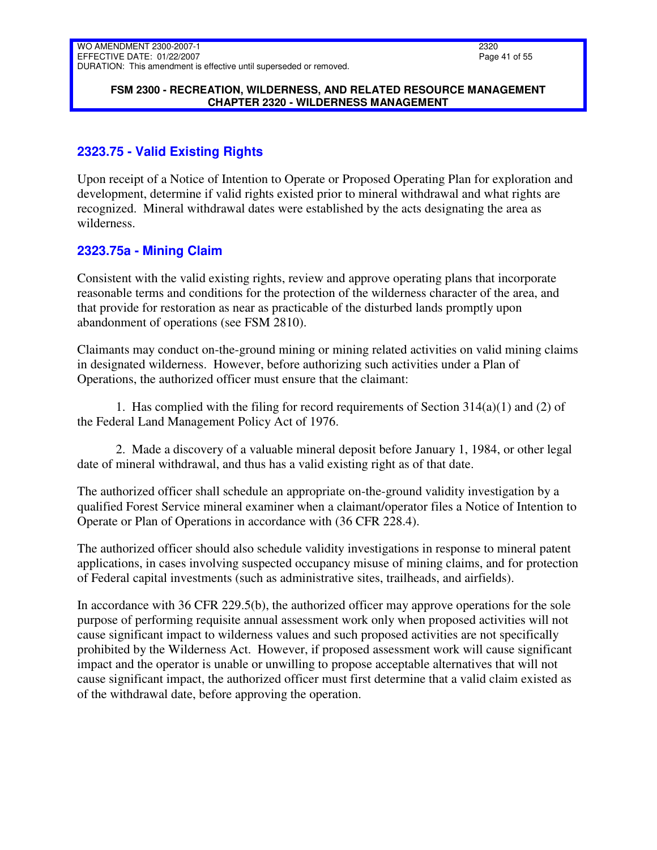#### **FSM 2300 - RECREATION, WILDERNESS, AND RELATED RESOURCE MANAGEMENT CHAPTER 2320 - WILDERNESS MANAGEMENT**

# <span id="page-40-0"></span>**2323.75 - Valid Existing Rights**

Upon receipt of a Notice of Intention to Operate or Proposed Operating Plan for exploration and development, determine if valid rights existed prior to mineral withdrawal and what rights are recognized. Mineral withdrawal dates were established by the acts designating the area as wilderness.

# <span id="page-40-1"></span>**2323.75a - Mining Claim**

Consistent with the valid existing rights, review and approve operating plans that incorporate reasonable terms and conditions for the protection of the wilderness character of the area, and that provide for restoration as near as practicable of the disturbed lands promptly upon abandonment of operations (see FSM 2810).

Claimants may conduct on-the-ground mining or mining related activities on valid mining claims in designated wilderness. However, before authorizing such activities under a Plan of Operations, the authorized officer must ensure that the claimant:

1. Has complied with the filing for record requirements of Section 314(a)(1) and (2) of the Federal Land Management Policy Act of 1976.

2. Made a discovery of a valuable mineral deposit before January 1, 1984, or other legal date of mineral withdrawal, and thus has a valid existing right as of that date.

The authorized officer shall schedule an appropriate on-the-ground validity investigation by a qualified Forest Service mineral examiner when a claimant/operator files a Notice of Intention to Operate or Plan of Operations in accordance with (36 CFR 228.4).

The authorized officer should also schedule validity investigations in response to mineral patent applications, in cases involving suspected occupancy misuse of mining claims, and for protection of Federal capital investments (such as administrative sites, trailheads, and airfields).

In accordance with 36 CFR 229.5(b), the authorized officer may approve operations for the sole purpose of performing requisite annual assessment work only when proposed activities will not cause significant impact to wilderness values and such proposed activities are not specifically prohibited by the Wilderness Act. However, if proposed assessment work will cause significant impact and the operator is unable or unwilling to propose acceptable alternatives that will not cause significant impact, the authorized officer must first determine that a valid claim existed as of the withdrawal date, before approving the operation.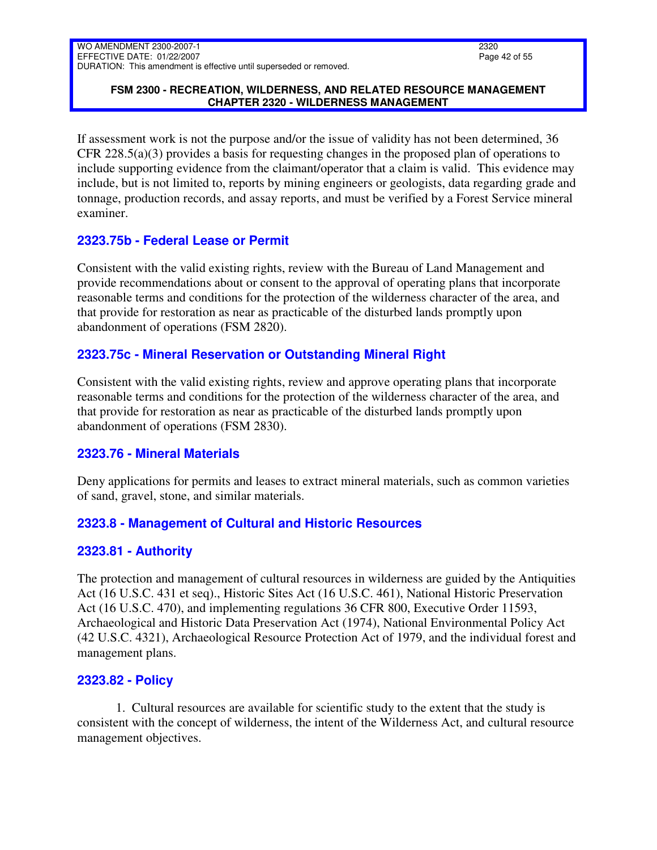### **FSM 2300 - RECREATION, WILDERNESS, AND RELATED RESOURCE MANAGEMENT CHAPTER 2320 - WILDERNESS MANAGEMENT**

If assessment work is not the purpose and/or the issue of validity has not been determined, 36 CFR 228.5(a)(3) provides a basis for requesting changes in the proposed plan of operations to include supporting evidence from the claimant/operator that a claim is valid. This evidence may include, but is not limited to, reports by mining engineers or geologists, data regarding grade and tonnage, production records, and assay reports, and must be verified by a Forest Service mineral examiner.

# <span id="page-41-0"></span>**2323.75b - Federal Lease or Permit**

Consistent with the valid existing rights, review with the Bureau of Land Management and provide recommendations about or consent to the approval of operating plans that incorporate reasonable terms and conditions for the protection of the wilderness character of the area, and that provide for restoration as near as practicable of the disturbed lands promptly upon abandonment of operations (FSM 2820).

# <span id="page-41-1"></span>**2323.75c - Mineral Reservation or Outstanding Mineral Right**

Consistent with the valid existing rights, review and approve operating plans that incorporate reasonable terms and conditions for the protection of the wilderness character of the area, and that provide for restoration as near as practicable of the disturbed lands promptly upon abandonment of operations (FSM 2830).

# <span id="page-41-2"></span>**2323.76 - Mineral Materials**

Deny applications for permits and leases to extract mineral materials, such as common varieties of sand, gravel, stone, and similar materials.

# <span id="page-41-3"></span>**2323.8 - Management of Cultural and Historic Resources**

# <span id="page-41-4"></span>**2323.81 - Authority**

The protection and management of cultural resources in wilderness are guided by the Antiquities Act (16 U.S.C. 431 et seq)., Historic Sites Act (16 U.S.C. 461), National Historic Preservation Act (16 U.S.C. 470), and implementing regulations 36 CFR 800, Executive Order 11593, Archaeological and Historic Data Preservation Act (1974), National Environmental Policy Act (42 U.S.C. 4321), Archaeological Resource Protection Act of 1979, and the individual forest and management plans.

# <span id="page-41-5"></span>**2323.82 - Policy**

1. Cultural resources are available for scientific study to the extent that the study is consistent with the concept of wilderness, the intent of the Wilderness Act, and cultural resource management objectives.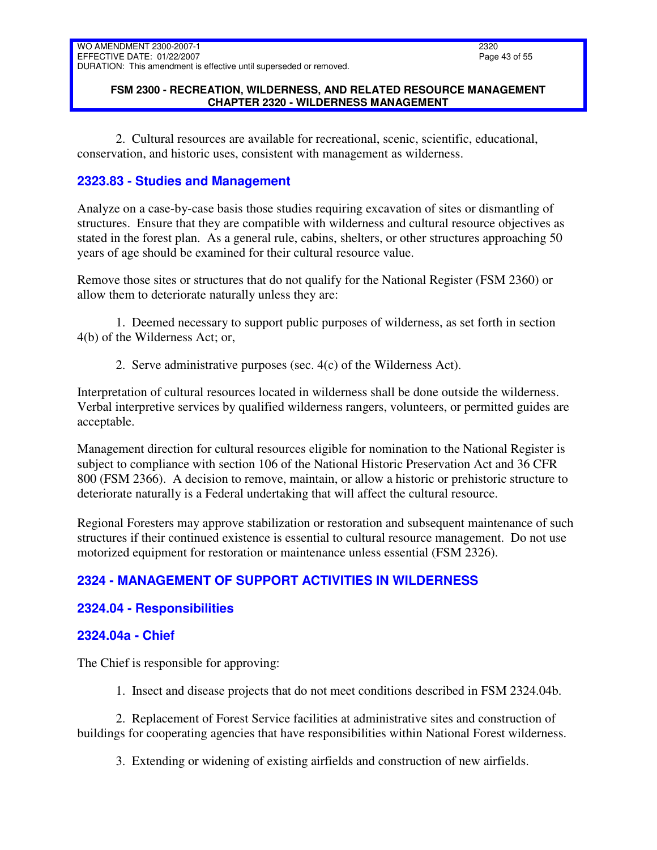### **FSM 2300 - RECREATION, WILDERNESS, AND RELATED RESOURCE MANAGEMENT CHAPTER 2320 - WILDERNESS MANAGEMENT**

2. Cultural resources are available for recreational, scenic, scientific, educational, conservation, and historic uses, consistent with management as wilderness.

# <span id="page-42-0"></span>**2323.83 - Studies and Management**

Analyze on a case-by-case basis those studies requiring excavation of sites or dismantling of structures. Ensure that they are compatible with wilderness and cultural resource objectives as stated in the forest plan. As a general rule, cabins, shelters, or other structures approaching 50 years of age should be examined for their cultural resource value.

Remove those sites or structures that do not qualify for the National Register (FSM 2360) or allow them to deteriorate naturally unless they are:

1. Deemed necessary to support public purposes of wilderness, as set forth in section 4(b) of the Wilderness Act; or,

2. Serve administrative purposes (sec. 4(c) of the Wilderness Act).

Interpretation of cultural resources located in wilderness shall be done outside the wilderness. Verbal interpretive services by qualified wilderness rangers, volunteers, or permitted guides are acceptable.

Management direction for cultural resources eligible for nomination to the National Register is subject to compliance with section 106 of the National Historic Preservation Act and 36 CFR 800 (FSM 2366). A decision to remove, maintain, or allow a historic or prehistoric structure to deteriorate naturally is a Federal undertaking that will affect the cultural resource.

Regional Foresters may approve stabilization or restoration and subsequent maintenance of such structures if their continued existence is essential to cultural resource management. Do not use motorized equipment for restoration or maintenance unless essential (FSM 2326).

# <span id="page-42-1"></span>**2324 - MANAGEMENT OF SUPPORT ACTIVITIES IN WILDERNESS**

# <span id="page-42-2"></span>**2324.04 - Responsibilities**

# <span id="page-42-3"></span>**2324.04a - Chief**

The Chief is responsible for approving:

1. Insect and disease projects that do not meet conditions described in FSM 2324.04b.

2. Replacement of Forest Service facilities at administrative sites and construction of buildings for cooperating agencies that have responsibilities within National Forest wilderness.

3. Extending or widening of existing airfields and construction of new airfields.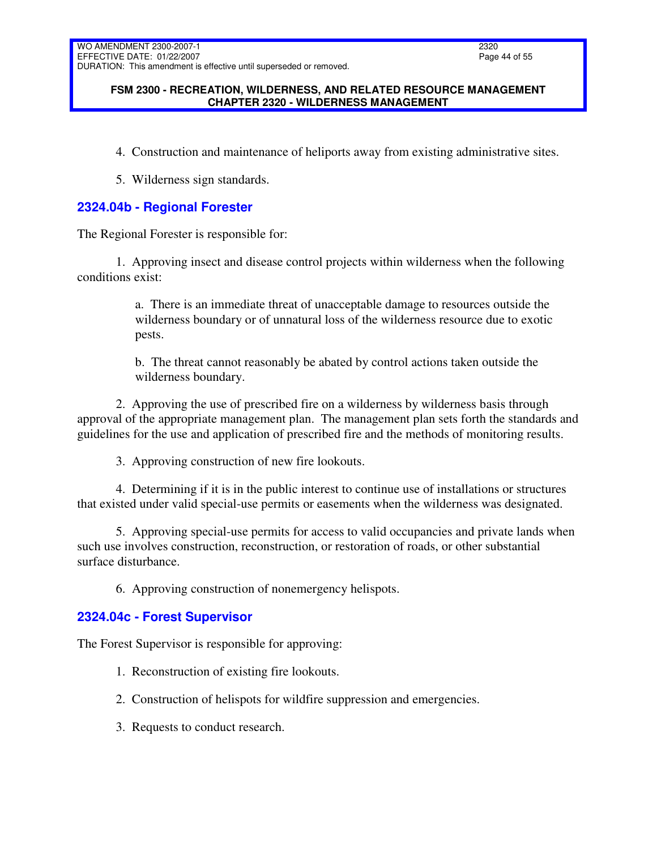### **FSM 2300 - RECREATION, WILDERNESS, AND RELATED RESOURCE MANAGEMENT CHAPTER 2320 - WILDERNESS MANAGEMENT**

- 4. Construction and maintenance of heliports away from existing administrative sites.
- 5. Wilderness sign standards.

# <span id="page-43-0"></span>**2324.04b - Regional Forester**

The Regional Forester is responsible for:

1. Approving insect and disease control projects within wilderness when the following conditions exist:

> a. There is an immediate threat of unacceptable damage to resources outside the wilderness boundary or of unnatural loss of the wilderness resource due to exotic pests.

b. The threat cannot reasonably be abated by control actions taken outside the wilderness boundary.

2. Approving the use of prescribed fire on a wilderness by wilderness basis through approval of the appropriate management plan. The management plan sets forth the standards and guidelines for the use and application of prescribed fire and the methods of monitoring results.

3. Approving construction of new fire lookouts.

4. Determining if it is in the public interest to continue use of installations or structures that existed under valid special-use permits or easements when the wilderness was designated.

5. Approving special-use permits for access to valid occupancies and private lands when such use involves construction, reconstruction, or restoration of roads, or other substantial surface disturbance.

6. Approving construction of nonemergency helispots.

# <span id="page-43-1"></span>**2324.04c - Forest Supervisor**

The Forest Supervisor is responsible for approving:

- 1. Reconstruction of existing fire lookouts.
- 2. Construction of helispots for wildfire suppression and emergencies.
- 3. Requests to conduct research.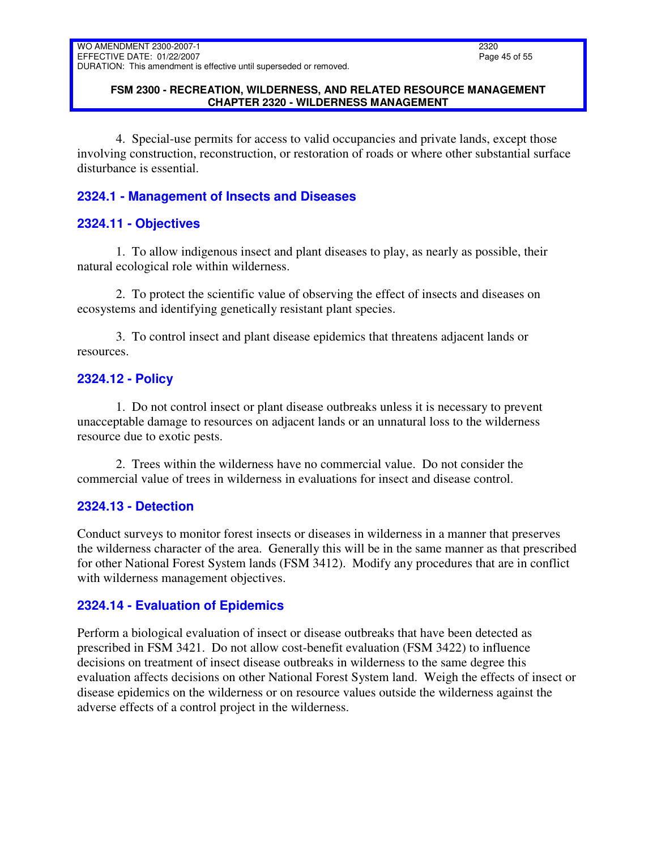### **FSM 2300 - RECREATION, WILDERNESS, AND RELATED RESOURCE MANAGEMENT CHAPTER 2320 - WILDERNESS MANAGEMENT**

4. Special-use permits for access to valid occupancies and private lands, except those involving construction, reconstruction, or restoration of roads or where other substantial surface disturbance is essential.

# <span id="page-44-0"></span>**2324.1 - Management of Insects and Diseases**

# <span id="page-44-1"></span>**2324.11 - Objectives**

1. To allow indigenous insect and plant diseases to play, as nearly as possible, their natural ecological role within wilderness.

2. To protect the scientific value of observing the effect of insects and diseases on ecosystems and identifying genetically resistant plant species.

3. To control insect and plant disease epidemics that threatens adjacent lands or resources.

# <span id="page-44-2"></span>**2324.12 - Policy**

1. Do not control insect or plant disease outbreaks unless it is necessary to prevent unacceptable damage to resources on adjacent lands or an unnatural loss to the wilderness resource due to exotic pests.

2. Trees within the wilderness have no commercial value. Do not consider the commercial value of trees in wilderness in evaluations for insect and disease control.

# <span id="page-44-3"></span>**2324.13 - Detection**

Conduct surveys to monitor forest insects or diseases in wilderness in a manner that preserves the wilderness character of the area. Generally this will be in the same manner as that prescribed for other National Forest System lands (FSM 3412). Modify any procedures that are in conflict with wilderness management objectives.

# <span id="page-44-4"></span>**2324.14 - Evaluation of Epidemics**

Perform a biological evaluation of insect or disease outbreaks that have been detected as prescribed in FSM 3421. Do not allow cost-benefit evaluation (FSM 3422) to influence decisions on treatment of insect disease outbreaks in wilderness to the same degree this evaluation affects decisions on other National Forest System land. Weigh the effects of insect or disease epidemics on the wilderness or on resource values outside the wilderness against the adverse effects of a control project in the wilderness.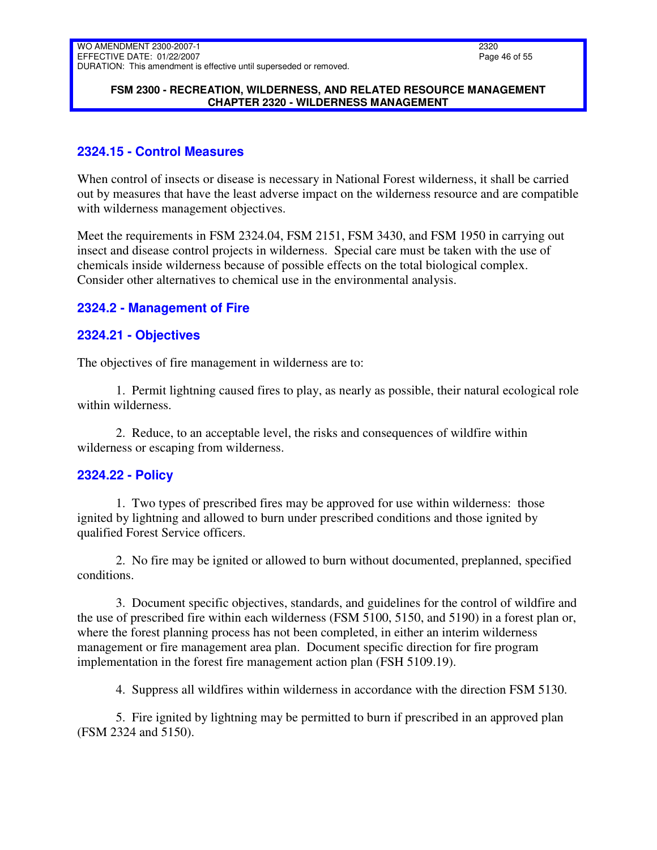### **FSM 2300 - RECREATION, WILDERNESS, AND RELATED RESOURCE MANAGEMENT CHAPTER 2320 - WILDERNESS MANAGEMENT**

# <span id="page-45-0"></span>**2324.15 - Control Measures**

When control of insects or disease is necessary in National Forest wilderness, it shall be carried out by measures that have the least adverse impact on the wilderness resource and are compatible with wilderness management objectives.

Meet the requirements in FSM 2324.04, FSM 2151, FSM 3430, and FSM 1950 in carrying out insect and disease control projects in wilderness. Special care must be taken with the use of chemicals inside wilderness because of possible effects on the total biological complex. Consider other alternatives to chemical use in the environmental analysis.

# <span id="page-45-1"></span>**2324.2 - Management of Fire**

# <span id="page-45-2"></span>**2324.21 - Objectives**

The objectives of fire management in wilderness are to:

1. Permit lightning caused fires to play, as nearly as possible, their natural ecological role within wilderness.

2. Reduce, to an acceptable level, the risks and consequences of wildfire within wilderness or escaping from wilderness.

# <span id="page-45-3"></span>**2324.22 - Policy**

1. Two types of prescribed fires may be approved for use within wilderness: those ignited by lightning and allowed to burn under prescribed conditions and those ignited by qualified Forest Service officers.

2. No fire may be ignited or allowed to burn without documented, preplanned, specified conditions.

3. Document specific objectives, standards, and guidelines for the control of wildfire and the use of prescribed fire within each wilderness (FSM 5100, 5150, and 5190) in a forest plan or, where the forest planning process has not been completed, in either an interim wilderness management or fire management area plan. Document specific direction for fire program implementation in the forest fire management action plan (FSH 5109.19).

4. Suppress all wildfires within wilderness in accordance with the direction FSM 5130.

5. Fire ignited by lightning may be permitted to burn if prescribed in an approved plan (FSM 2324 and 5150).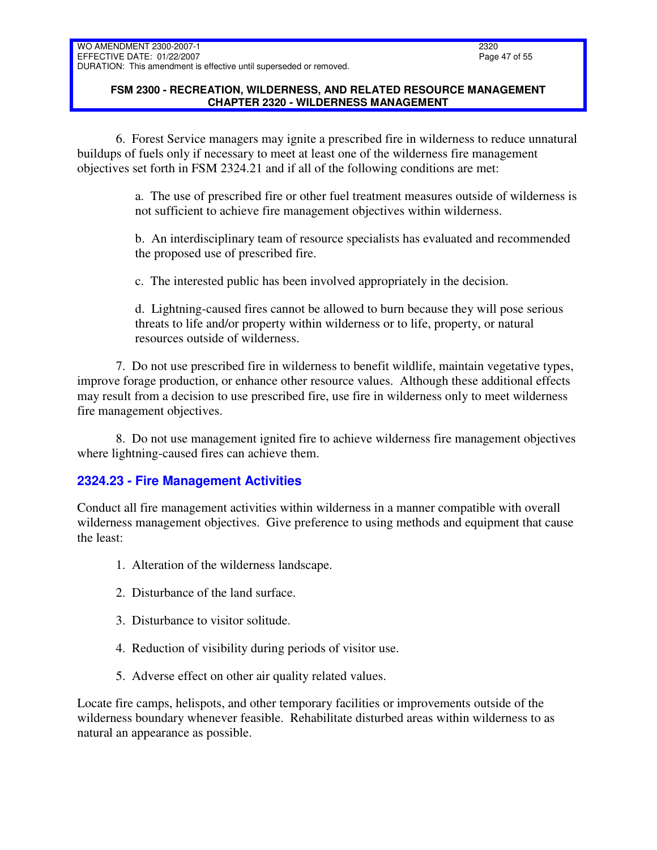### **FSM 2300 - RECREATION, WILDERNESS, AND RELATED RESOURCE MANAGEMENT CHAPTER 2320 - WILDERNESS MANAGEMENT**

6. Forest Service managers may ignite a prescribed fire in wilderness to reduce unnatural buildups of fuels only if necessary to meet at least one of the wilderness fire management objectives set forth in FSM 2324.21 and if all of the following conditions are met:

> a. The use of prescribed fire or other fuel treatment measures outside of wilderness is not sufficient to achieve fire management objectives within wilderness.

b. An interdisciplinary team of resource specialists has evaluated and recommended the proposed use of prescribed fire.

c. The interested public has been involved appropriately in the decision.

d. Lightning-caused fires cannot be allowed to burn because they will pose serious threats to life and/or property within wilderness or to life, property, or natural resources outside of wilderness.

7. Do not use prescribed fire in wilderness to benefit wildlife, maintain vegetative types, improve forage production, or enhance other resource values. Although these additional effects may result from a decision to use prescribed fire, use fire in wilderness only to meet wilderness fire management objectives.

8. Do not use management ignited fire to achieve wilderness fire management objectives where lightning-caused fires can achieve them.

# <span id="page-46-0"></span>**2324.23 - Fire Management Activities**

Conduct all fire management activities within wilderness in a manner compatible with overall wilderness management objectives. Give preference to using methods and equipment that cause the least:

- 1. Alteration of the wilderness landscape.
- 2. Disturbance of the land surface.
- 3. Disturbance to visitor solitude.
- 4. Reduction of visibility during periods of visitor use.
- 5. Adverse effect on other air quality related values.

Locate fire camps, helispots, and other temporary facilities or improvements outside of the wilderness boundary whenever feasible. Rehabilitate disturbed areas within wilderness to as natural an appearance as possible.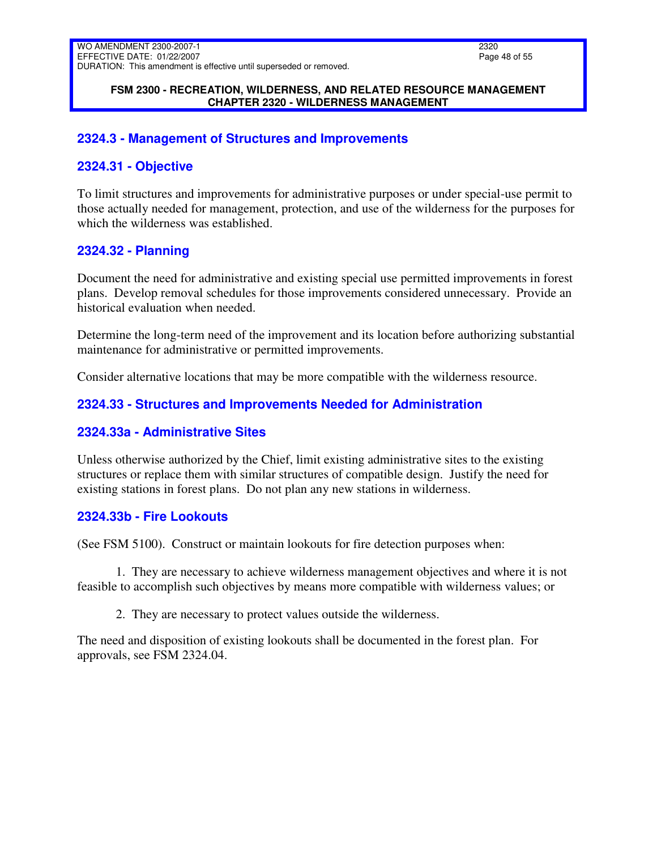#### **FSM 2300 - RECREATION, WILDERNESS, AND RELATED RESOURCE MANAGEMENT CHAPTER 2320 - WILDERNESS MANAGEMENT**

## <span id="page-47-0"></span>**2324.3 - Management of Structures and Improvements**

## <span id="page-47-1"></span>**2324.31 - Objective**

To limit structures and improvements for administrative purposes or under special-use permit to those actually needed for management, protection, and use of the wilderness for the purposes for which the wilderness was established.

### <span id="page-47-2"></span>**2324.32 - Planning**

Document the need for administrative and existing special use permitted improvements in forest plans. Develop removal schedules for those improvements considered unnecessary. Provide an historical evaluation when needed.

Determine the long-term need of the improvement and its location before authorizing substantial maintenance for administrative or permitted improvements.

Consider alternative locations that may be more compatible with the wilderness resource.

### <span id="page-47-3"></span>**2324.33 - Structures and Improvements Needed for Administration**

### <span id="page-47-4"></span>**2324.33a - Administrative Sites**

Unless otherwise authorized by the Chief, limit existing administrative sites to the existing structures or replace them with similar structures of compatible design. Justify the need for existing stations in forest plans. Do not plan any new stations in wilderness.

### <span id="page-47-5"></span>**2324.33b - Fire Lookouts**

(See FSM 5100). Construct or maintain lookouts for fire detection purposes when:

1. They are necessary to achieve wilderness management objectives and where it is not feasible to accomplish such objectives by means more compatible with wilderness values; or

2. They are necessary to protect values outside the wilderness.

The need and disposition of existing lookouts shall be documented in the forest plan. For approvals, see FSM 2324.04.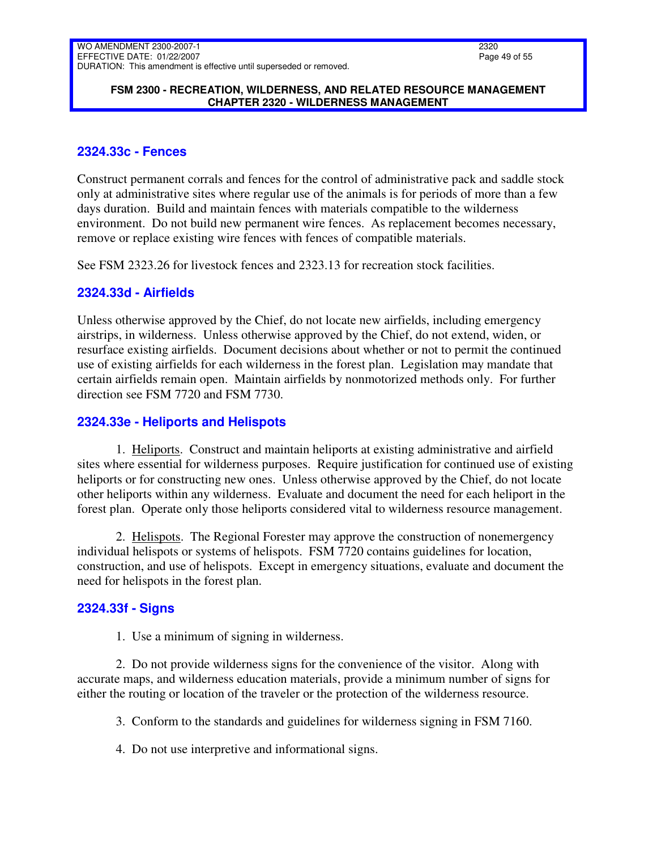### **FSM 2300 - RECREATION, WILDERNESS, AND RELATED RESOURCE MANAGEMENT CHAPTER 2320 - WILDERNESS MANAGEMENT**

# <span id="page-48-0"></span>**2324.33c - Fences**

Construct permanent corrals and fences for the control of administrative pack and saddle stock only at administrative sites where regular use of the animals is for periods of more than a few days duration. Build and maintain fences with materials compatible to the wilderness environment. Do not build new permanent wire fences. As replacement becomes necessary, remove or replace existing wire fences with fences of compatible materials.

See FSM 2323.26 for livestock fences and 2323.13 for recreation stock facilities.

### <span id="page-48-1"></span>**2324.33d - Airfields**

Unless otherwise approved by the Chief, do not locate new airfields, including emergency airstrips, in wilderness. Unless otherwise approved by the Chief, do not extend, widen, or resurface existing airfields. Document decisions about whether or not to permit the continued use of existing airfields for each wilderness in the forest plan. Legislation may mandate that certain airfields remain open. Maintain airfields by nonmotorized methods only. For further direction see FSM 7720 and FSM 7730.

### <span id="page-48-2"></span>**2324.33e - Heliports and Helispots**

1. Heliports. Construct and maintain heliports at existing administrative and airfield sites where essential for wilderness purposes. Require justification for continued use of existing heliports or for constructing new ones. Unless otherwise approved by the Chief, do not locate other heliports within any wilderness. Evaluate and document the need for each heliport in the forest plan. Operate only those heliports considered vital to wilderness resource management.

2. Helispots. The Regional Forester may approve the construction of nonemergency individual helispots or systems of helispots. FSM 7720 contains guidelines for location, construction, and use of helispots. Except in emergency situations, evaluate and document the need for helispots in the forest plan.

# <span id="page-48-3"></span>**2324.33f - Signs**

1. Use a minimum of signing in wilderness.

2. Do not provide wilderness signs for the convenience of the visitor. Along with accurate maps, and wilderness education materials, provide a minimum number of signs for either the routing or location of the traveler or the protection of the wilderness resource.

3. Conform to the standards and guidelines for wilderness signing in FSM 7160.

4. Do not use interpretive and informational signs.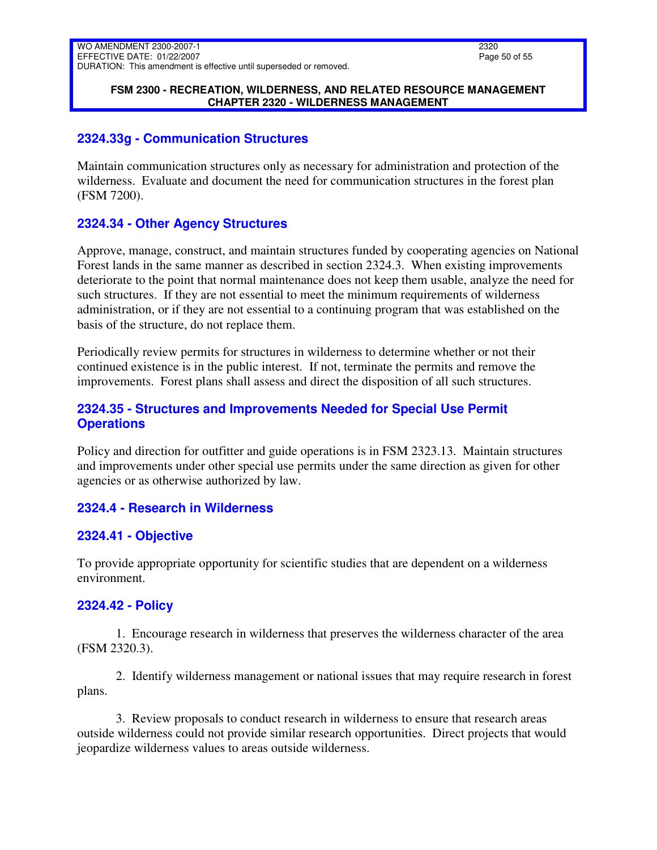### **FSM 2300 - RECREATION, WILDERNESS, AND RELATED RESOURCE MANAGEMENT CHAPTER 2320 - WILDERNESS MANAGEMENT**

## <span id="page-49-0"></span>**2324.33g - Communication Structures**

Maintain communication structures only as necessary for administration and protection of the wilderness. Evaluate and document the need for communication structures in the forest plan (FSM 7200).

# <span id="page-49-1"></span>**2324.34 - Other Agency Structures**

Approve, manage, construct, and maintain structures funded by cooperating agencies on National Forest lands in the same manner as described in section 2324.3. When existing improvements deteriorate to the point that normal maintenance does not keep them usable, analyze the need for such structures. If they are not essential to meet the minimum requirements of wilderness administration, or if they are not essential to a continuing program that was established on the basis of the structure, do not replace them.

Periodically review permits for structures in wilderness to determine whether or not their continued existence is in the public interest. If not, terminate the permits and remove the improvements. Forest plans shall assess and direct the disposition of all such structures.

# <span id="page-49-2"></span>**2324.35 - Structures and Improvements Needed for Special Use Permit Operations**

Policy and direction for outfitter and guide operations is in FSM 2323.13. Maintain structures and improvements under other special use permits under the same direction as given for other agencies or as otherwise authorized by law.

# <span id="page-49-3"></span>**2324.4 - Research in Wilderness**

### <span id="page-49-4"></span>**2324.41 - Objective**

To provide appropriate opportunity for scientific studies that are dependent on a wilderness environment.

# <span id="page-49-5"></span>**2324.42 - Policy**

1. Encourage research in wilderness that preserves the wilderness character of the area (FSM 2320.3).

2. Identify wilderness management or national issues that may require research in forest plans.

3. Review proposals to conduct research in wilderness to ensure that research areas outside wilderness could not provide similar research opportunities. Direct projects that would jeopardize wilderness values to areas outside wilderness.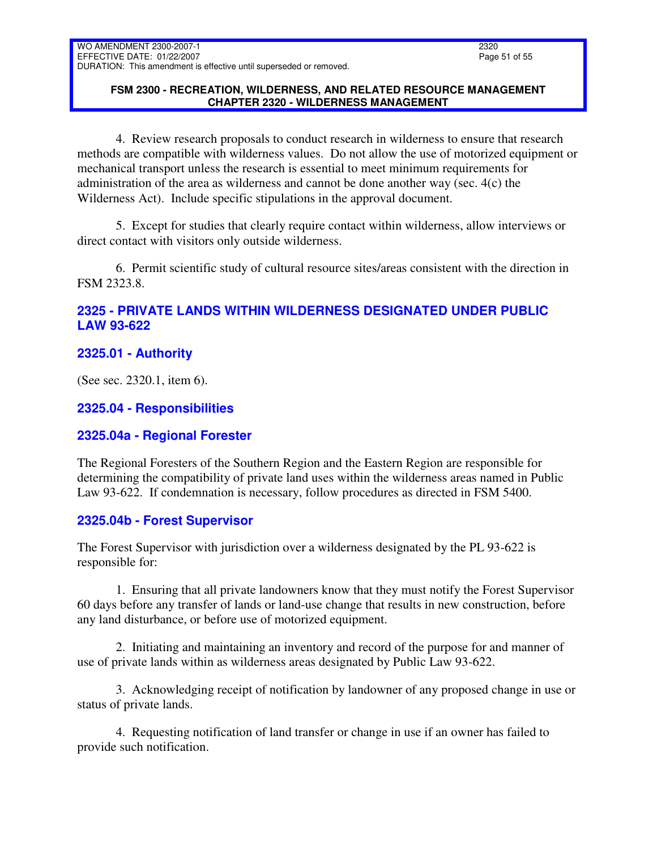### **FSM 2300 - RECREATION, WILDERNESS, AND RELATED RESOURCE MANAGEMENT CHAPTER 2320 - WILDERNESS MANAGEMENT**

4. Review research proposals to conduct research in wilderness to ensure that research methods are compatible with wilderness values. Do not allow the use of motorized equipment or mechanical transport unless the research is essential to meet minimum requirements for administration of the area as wilderness and cannot be done another way (sec. 4(c) the Wilderness Act). Include specific stipulations in the approval document.

5. Except for studies that clearly require contact within wilderness, allow interviews or direct contact with visitors only outside wilderness.

6. Permit scientific study of cultural resource sites/areas consistent with the direction in FSM 2323.8.

# <span id="page-50-0"></span>**2325 - PRIVATE LANDS WITHIN WILDERNESS DESIGNATED UNDER PUBLIC LAW 93-622**

# <span id="page-50-1"></span>**2325.01 - Authority**

(See sec. 2320.1, item 6).

### <span id="page-50-2"></span>**2325.04 - Responsibilities**

# <span id="page-50-3"></span>**2325.04a - Regional Forester**

The Regional Foresters of the Southern Region and the Eastern Region are responsible for determining the compatibility of private land uses within the wilderness areas named in Public Law 93-622. If condemnation is necessary, follow procedures as directed in FSM 5400.

### <span id="page-50-4"></span>**2325.04b - Forest Supervisor**

The Forest Supervisor with jurisdiction over a wilderness designated by the PL 93-622 is responsible for:

1. Ensuring that all private landowners know that they must notify the Forest Supervisor 60 days before any transfer of lands or land-use change that results in new construction, before any land disturbance, or before use of motorized equipment.

2. Initiating and maintaining an inventory and record of the purpose for and manner of use of private lands within as wilderness areas designated by Public Law 93-622.

3. Acknowledging receipt of notification by landowner of any proposed change in use or status of private lands.

4. Requesting notification of land transfer or change in use if an owner has failed to provide such notification.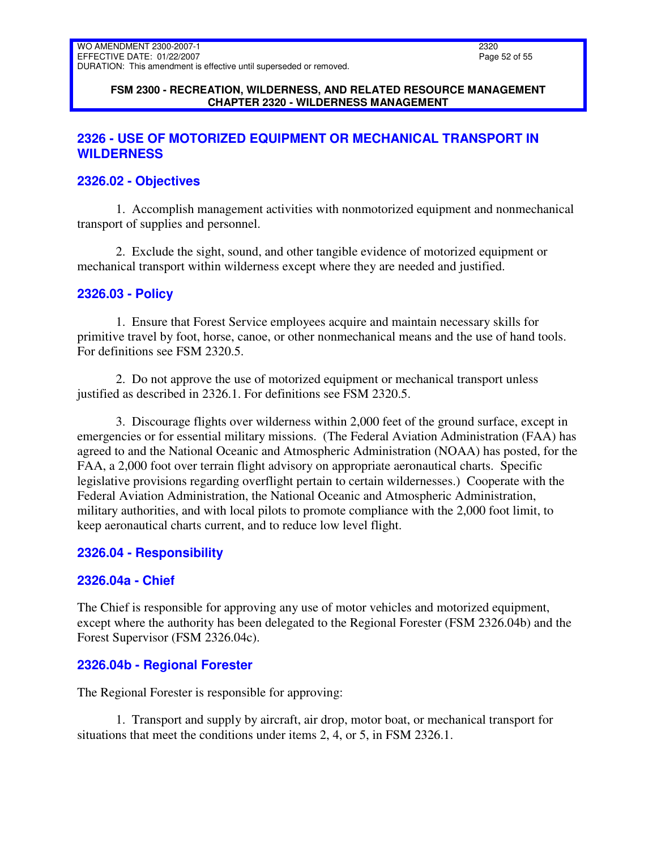#### **FSM 2300 - RECREATION, WILDERNESS, AND RELATED RESOURCE MANAGEMENT CHAPTER 2320 - WILDERNESS MANAGEMENT**

# <span id="page-51-0"></span>**2326 - USE OF MOTORIZED EQUIPMENT OR MECHANICAL TRANSPORT IN WILDERNESS**

# <span id="page-51-1"></span>**2326.02 - Objectives**

1. Accomplish management activities with nonmotorized equipment and nonmechanical transport of supplies and personnel.

2. Exclude the sight, sound, and other tangible evidence of motorized equipment or mechanical transport within wilderness except where they are needed and justified.

# <span id="page-51-2"></span>**2326.03 - Policy**

1. Ensure that Forest Service employees acquire and maintain necessary skills for primitive travel by foot, horse, canoe, or other nonmechanical means and the use of hand tools. For definitions see FSM 2320.5.

2. Do not approve the use of motorized equipment or mechanical transport unless justified as described in 2326.1. For definitions see FSM 2320.5.

3. Discourage flights over wilderness within 2,000 feet of the ground surface, except in emergencies or for essential military missions. (The Federal Aviation Administration (FAA) has agreed to and the National Oceanic and Atmospheric Administration (NOAA) has posted, for the FAA, a 2,000 foot over terrain flight advisory on appropriate aeronautical charts. Specific legislative provisions regarding overflight pertain to certain wildernesses.) Cooperate with the Federal Aviation Administration, the National Oceanic and Atmospheric Administration, military authorities, and with local pilots to promote compliance with the 2,000 foot limit, to keep aeronautical charts current, and to reduce low level flight.

# <span id="page-51-3"></span>**2326.04 - Responsibility**

# <span id="page-51-4"></span>**2326.04a - Chief**

The Chief is responsible for approving any use of motor vehicles and motorized equipment, except where the authority has been delegated to the Regional Forester (FSM 2326.04b) and the Forest Supervisor (FSM 2326.04c).

# <span id="page-51-5"></span>**2326.04b - Regional Forester**

The Regional Forester is responsible for approving:

1. Transport and supply by aircraft, air drop, motor boat, or mechanical transport for situations that meet the conditions under items 2, 4, or 5, in FSM 2326.1.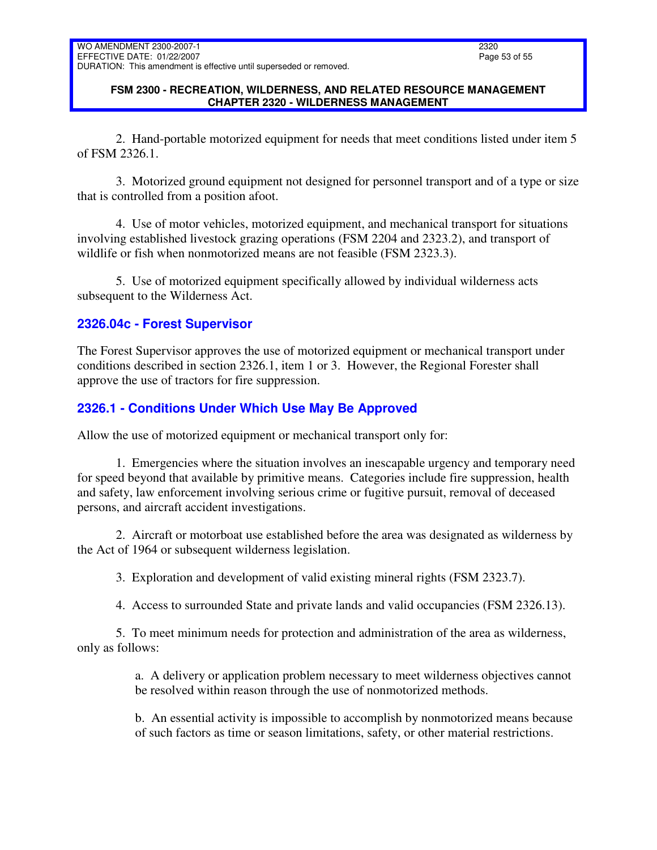### **FSM 2300 - RECREATION, WILDERNESS, AND RELATED RESOURCE MANAGEMENT CHAPTER 2320 - WILDERNESS MANAGEMENT**

2. Hand-portable motorized equipment for needs that meet conditions listed under item 5 of FSM 2326.1.

3. Motorized ground equipment not designed for personnel transport and of a type or size that is controlled from a position afoot.

4. Use of motor vehicles, motorized equipment, and mechanical transport for situations involving established livestock grazing operations (FSM 2204 and 2323.2), and transport of wildlife or fish when nonmotorized means are not feasible (FSM 2323.3).

5. Use of motorized equipment specifically allowed by individual wilderness acts subsequent to the Wilderness Act.

# <span id="page-52-0"></span>**2326.04c - Forest Supervisor**

The Forest Supervisor approves the use of motorized equipment or mechanical transport under conditions described in section 2326.1, item 1 or 3. However, the Regional Forester shall approve the use of tractors for fire suppression.

# <span id="page-52-1"></span>**2326.1 - Conditions Under Which Use May Be Approved**

Allow the use of motorized equipment or mechanical transport only for:

1. Emergencies where the situation involves an inescapable urgency and temporary need for speed beyond that available by primitive means. Categories include fire suppression, health and safety, law enforcement involving serious crime or fugitive pursuit, removal of deceased persons, and aircraft accident investigations.

2. Aircraft or motorboat use established before the area was designated as wilderness by the Act of 1964 or subsequent wilderness legislation.

3. Exploration and development of valid existing mineral rights (FSM 2323.7).

4. Access to surrounded State and private lands and valid occupancies (FSM 2326.13).

5. To meet minimum needs for protection and administration of the area as wilderness, only as follows:

> a. A delivery or application problem necessary to meet wilderness objectives cannot be resolved within reason through the use of nonmotorized methods.

> b. An essential activity is impossible to accomplish by nonmotorized means because of such factors as time or season limitations, safety, or other material restrictions.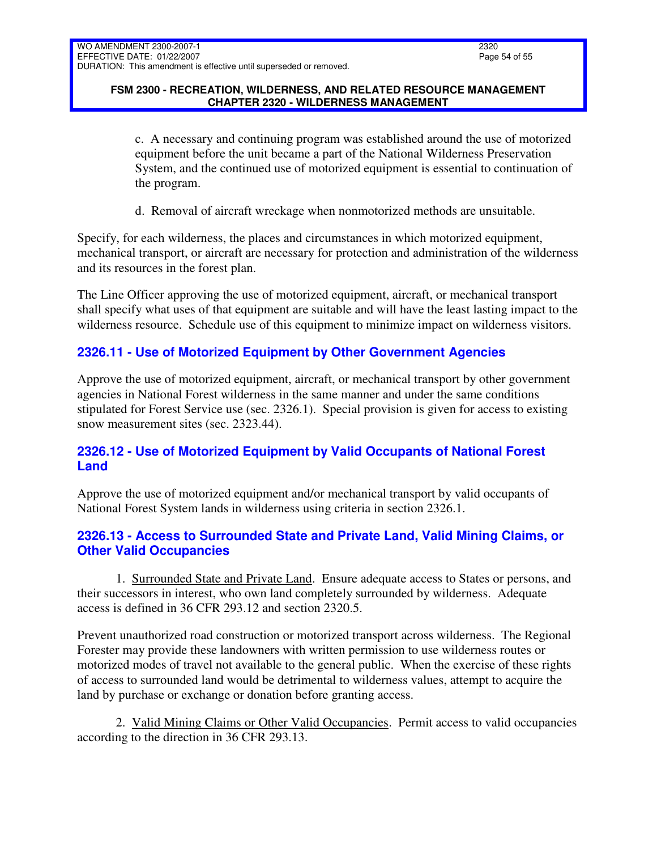### **FSM 2300 - RECREATION, WILDERNESS, AND RELATED RESOURCE MANAGEMENT CHAPTER 2320 - WILDERNESS MANAGEMENT**

c. A necessary and continuing program was established around the use of motorized equipment before the unit became a part of the National Wilderness Preservation System, and the continued use of motorized equipment is essential to continuation of the program.

d. Removal of aircraft wreckage when nonmotorized methods are unsuitable.

Specify, for each wilderness, the places and circumstances in which motorized equipment, mechanical transport, or aircraft are necessary for protection and administration of the wilderness and its resources in the forest plan.

The Line Officer approving the use of motorized equipment, aircraft, or mechanical transport shall specify what uses of that equipment are suitable and will have the least lasting impact to the wilderness resource. Schedule use of this equipment to minimize impact on wilderness visitors.

# <span id="page-53-0"></span>**2326.11 - Use of Motorized Equipment by Other Government Agencies**

Approve the use of motorized equipment, aircraft, or mechanical transport by other government agencies in National Forest wilderness in the same manner and under the same conditions stipulated for Forest Service use (sec. 2326.1). Special provision is given for access to existing snow measurement sites (sec. 2323.44).

# <span id="page-53-1"></span>**2326.12 - Use of Motorized Equipment by Valid Occupants of National Forest Land**

Approve the use of motorized equipment and/or mechanical transport by valid occupants of National Forest System lands in wilderness using criteria in section 2326.1.

# <span id="page-53-2"></span>**2326.13 - Access to Surrounded State and Private Land, Valid Mining Claims, or Other Valid Occupancies**

1. Surrounded State and Private Land. Ensure adequate access to States or persons, and their successors in interest, who own land completely surrounded by wilderness. Adequate access is defined in 36 CFR 293.12 and section 2320.5.

Prevent unauthorized road construction or motorized transport across wilderness. The Regional Forester may provide these landowners with written permission to use wilderness routes or motorized modes of travel not available to the general public. When the exercise of these rights of access to surrounded land would be detrimental to wilderness values, attempt to acquire the land by purchase or exchange or donation before granting access.

2. Valid Mining Claims or Other Valid Occupancies. Permit access to valid occupancies according to the direction in 36 CFR 293.13.